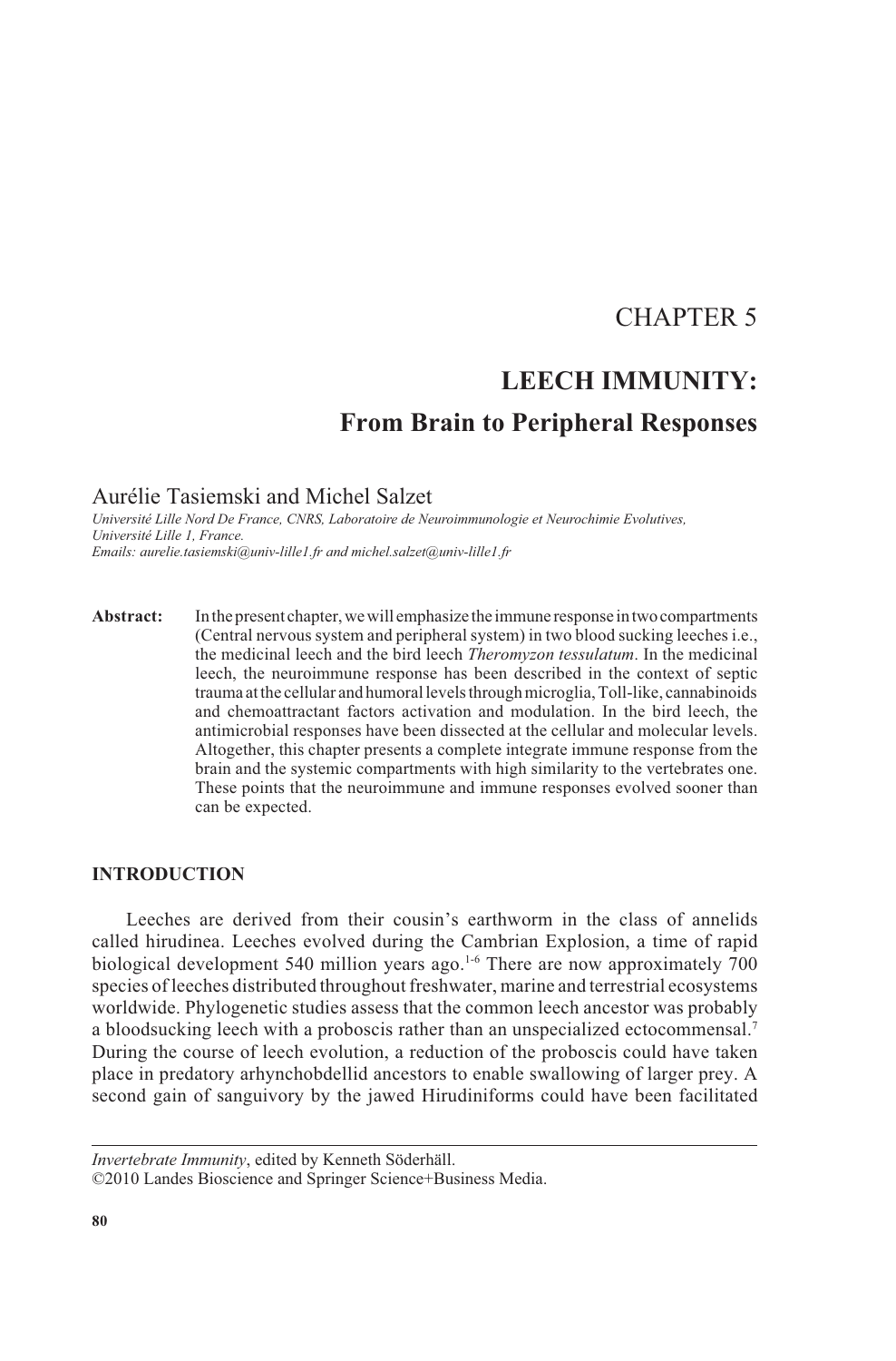## CHAPTER 5

# **LEECH IMMUNITY: From Brain to Peripheral Responses**

## Aurélie Tasiemski and Michel Salzet

*Université Lille Nord De France, CNRS, Laboratoire de Neuroimmunologie et Neurochimie Evolutives, Université Lille 1, France. Emails: aurelie.tasiemski@univ-lille1.fr and michel.salzet@univ-lille1.fr*

**Abstract:** In the present chapter, we will emphasize the immune response in two compartments (Central nervous system and peripheral system) in two blood sucking leeches i.e., the medicinal leech and the bird leech *Theromyzon tessulatum*. In the medicinal leech, the neuroimmune response has been described in the context of septic trauma at the cellular and humoral levels through microglia, Toll-like, cannabinoids and chemoattractant factors activation and modulation. In the bird leech, the antimicrobial responses have been dissected at the cellular and molecular levels. Altogether, this chapter presents a complete integrate immune response from the brain and the systemic compartments with high similarity to the vertebrates one. These points that the neuroimmune and immune responses evolved sooner than can be expected.

## **INTRODUCTION**

Leeches are derived from their cousin's earthworm in the class of annelids called hirudinea. Leeches evolved during the Cambrian Explosion, a time of rapid biological development 540 million years ago.<sup>1-6</sup> There are now approximately 700 species of leeches distributed throughout freshwater, marine and terrestrial ecosystems worldwide. Phylogenetic studies assess that the common leech ancestor was probably a bloodsucking leech with a proboscis rather than an unspecialized ectocommensal.7 During the course of leech evolution, a reduction of the proboscis could have taken place in predatory arhynchobdellid ancestors to enable swallowing of larger prey. A second gain of sanguivory by the jawed Hirudiniforms could have been facilitated

*Invertebrate Immunity*, edited by Kenneth Söderhäll.

<sup>©2010</sup> Landes Bioscience and Springer Science+Business Media.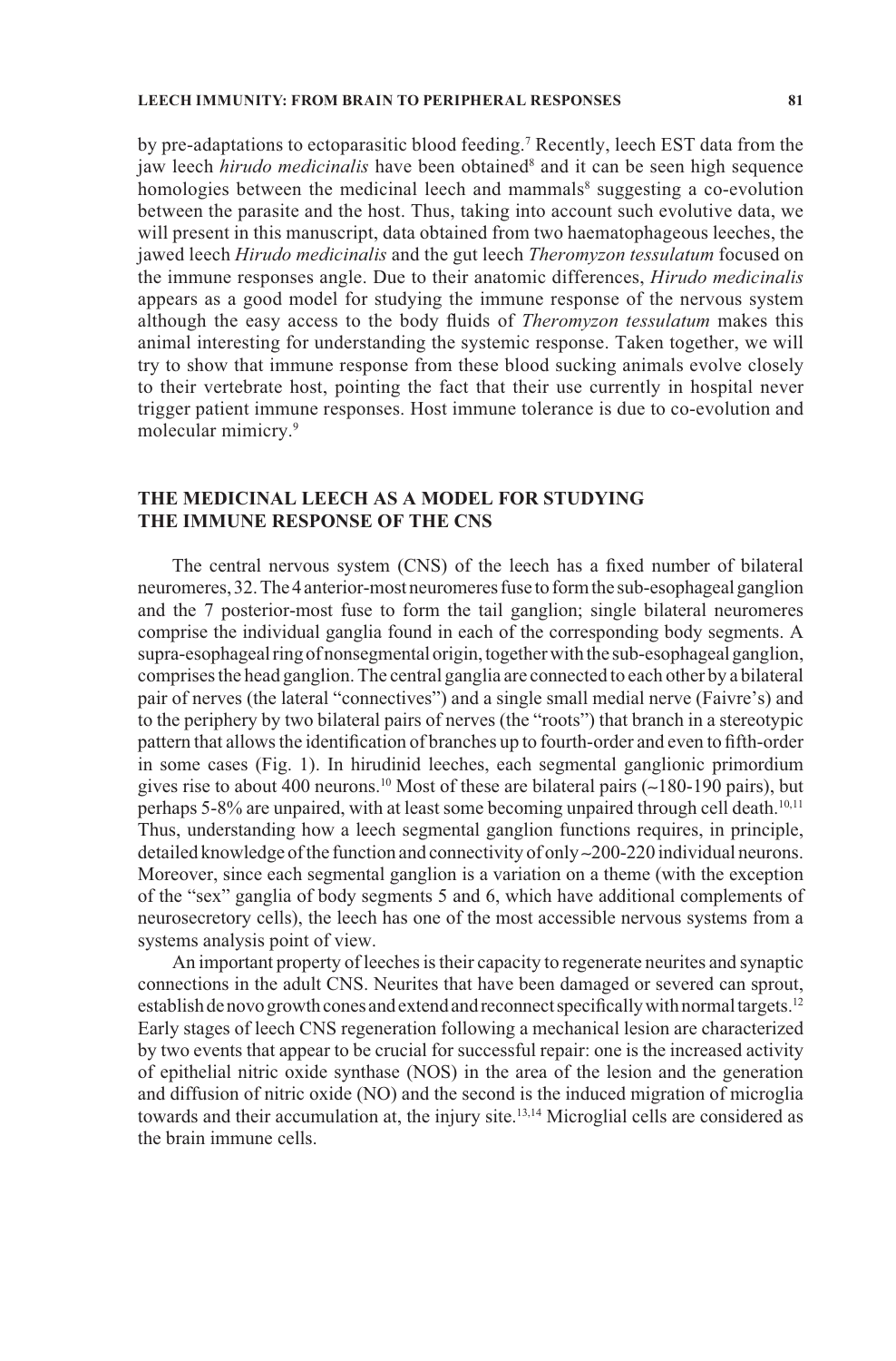by pre-adaptations to ectoparasitic blood feeding.7 Recently, leech EST data from the jaw leech *hirudo medicinalis* have been obtained<sup>8</sup> and it can be seen high sequence homologies between the medicinal leech and mammals<sup>8</sup> suggesting a co-evolution between the parasite and the host. Thus, taking into account such evolutive data, we will present in this manuscript, data obtained from two haematophageous leeches, the jawed leech *Hirudo medicinalis* and the gut leech *Theromyzon tessulatum* focused on the immune responses angle. Due to their anatomic differences, *Hirudo medicinalis* appears as a good model for studying the immune response of the nervous system although the easy access to the body fluids of *Theromyzon tessulatum* makes this animal interesting for understanding the systemic response. Taken together, we will try to show that immune response from these blood sucking animals evolve closely to their vertebrate host, pointing the fact that their use currently in hospital never trigger patient immune responses. Host immune tolerance is due to co-evolution and molecular mimicry.9

#### **THE MEDICINAL LEECH AS A MODEL FOR STUDYING THE IMMUNE RESPONSE OF THE CNS**

The central nervous system (CNS) of the leech has a fixed number of bilateral neuromeres, 32. The 4 anterior-most neuromeres fuse to form the sub-esophageal ganglion and the 7 posterior-most fuse to form the tail ganglion; single bilateral neuromeres comprise the individual ganglia found in each of the corresponding body segments. A supra-esophageal ring of nonsegmental origin, together with the sub-esophageal ganglion, comprises the head ganglion. The central ganglia are connected to each other by a bilateral pair of nerves (the lateral "connectives") and a single small medial nerve (Faivre's) and to the periphery by two bilateral pairs of nerves (the "roots") that branch in a stereotypic pattern that allows the identification of branches up to fourth-order and even to fifth-order in some cases (Fig. 1). In hirudinid leeches, each segmental ganglionic primordium gives rise to about 400 neurons.10 Most of these are bilateral pairs (-180-190 pairs), but perhaps 5-8% are unpaired, with at least some becoming unpaired through cell death.<sup>10,11</sup> Thus, understanding how a leech segmental ganglion functions requires, in principle, detailed knowledge of the function and connectivity of only -200-220 individual neurons. Moreover, since each segmental ganglion is a variation on a theme (with the exception of the "sex" ganglia of body segments 5 and 6, which have additional complements of neurosecretory cells), the leech has one of the most accessible nervous systems from a systems analysis point of view.

An important property of leeches is their capacity to regenerate neurites and synaptic connections in the adult CNS. Neurites that have been damaged or severed can sprout, establish de novo growth cones and extend and reconnect specifically with normal targets.<sup>12</sup> Early stages of leech CNS regeneration following a mechanical lesion are characterized by two events that appear to be crucial for successful repair: one is the increased activity of epithelial nitric oxide synthase (NOS) in the area of the lesion and the generation and diffusion of nitric oxide (NO) and the second is the induced migration of microglia towards and their accumulation at, the injury site.<sup>13,14</sup> Microglial cells are considered as the brain immune cells.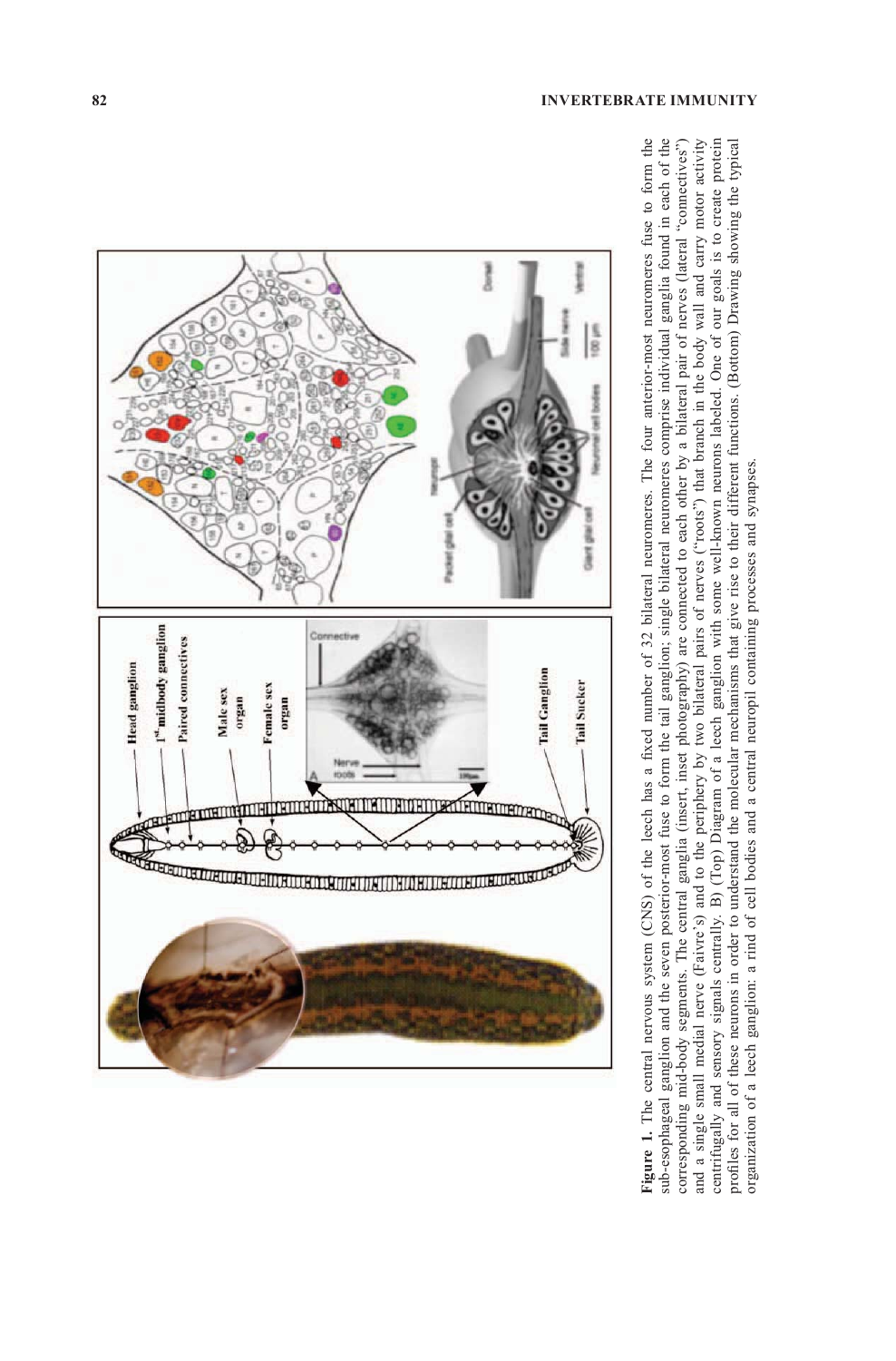

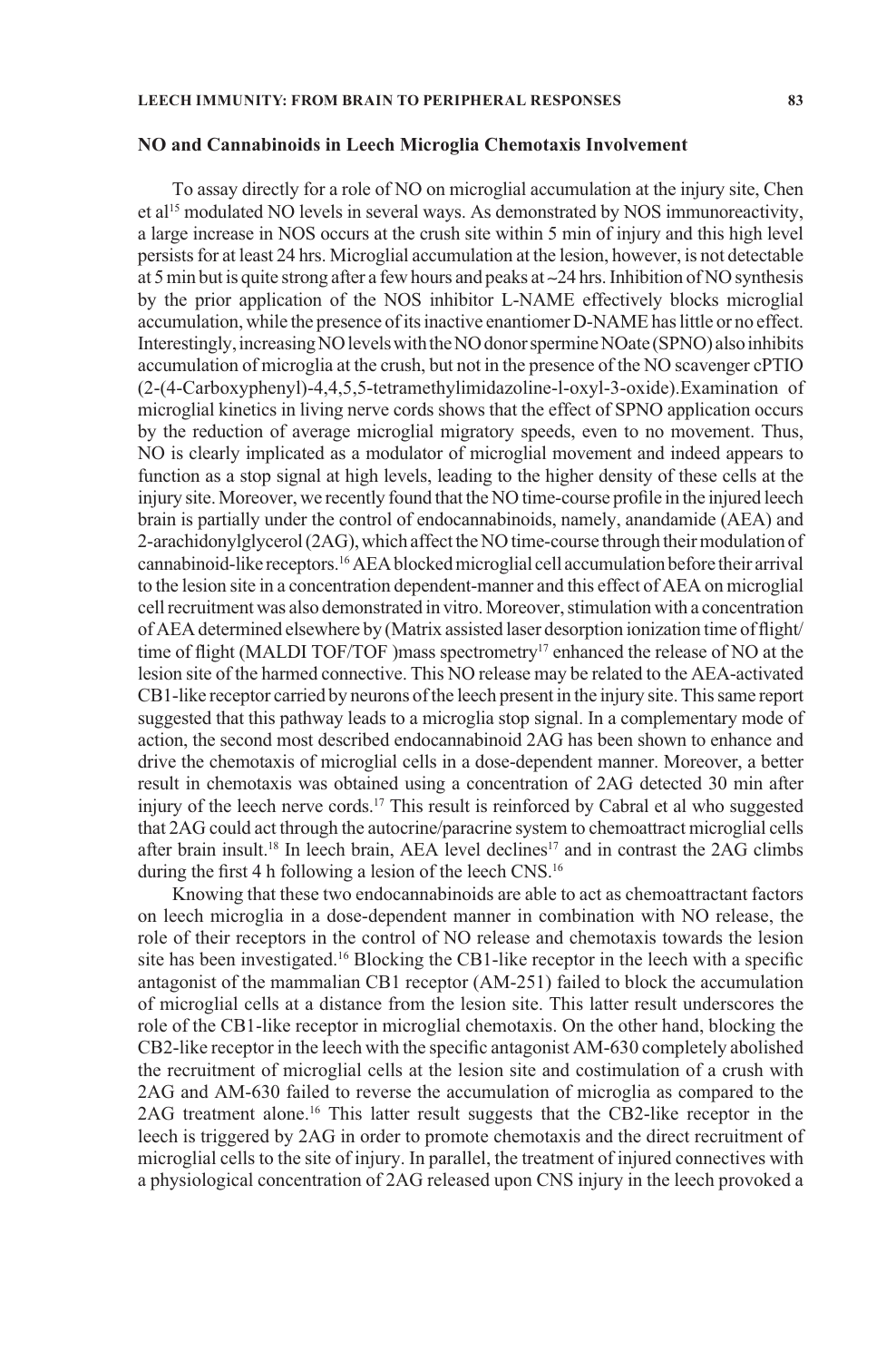#### **NO and Cannabinoids in Leech Microglia Chemotaxis Involvement**

To assay directly for a role of NO on microglial accumulation at the injury site, Chen et al<sup>15</sup> modulated NO levels in several ways. As demonstrated by NOS immunoreactivity, a large increase in NOS occurs at the crush site within 5 min of injury and this high level persists for at least 24 hrs. Microglial accumulation at the lesion, however, is not detectable at 5 min but is quite strong after a few hours and peaks at  $\sim$  24 hrs. Inhibition of NO synthesis by the prior application of the NOS inhibitor L-NAME effectively blocks microglial accumulation, while the presence of its inactive enantiomer D-NAME has little or no effect. Interestingly, increasing NO levels with the NO donor spermine NOate (SPNO) also inhibits accumulation of microglia at the crush, but not in the presence of the NO scavenger cPTIO (2-(4-Carboxyphenyl)-4,4,5,5-tetramethylimidazoline-l-oxyl-3-oxide).Examination of microglial kinetics in living nerve cords shows that the effect of SPNO application occurs by the reduction of average microglial migratory speeds, even to no movement. Thus, NO is clearly implicated as a modulator of microglial movement and indeed appears to function as a stop signal at high levels, leading to the higher density of these cells at the injury site. Moreover, we recently found that the NO time-course profile in the injured leech brain is partially under the control of endocannabinoids, namely, anandamide (AEA) and 2-arachidonylglycerol (2AG), which affect the NO time-course through their modulation of cannabinoid-like receptors.16 AEA blocked microglial cell accumulation before their arrival to the lesion site in a concentration dependent-manner and this effect of AEA on microglial cell recruitment was also demonstrated in vitro. Moreover, stimulation with a concentration of AEA determined elsewhere by (Matrix assisted laser desorption ionization time of flight/ time of flight (MALDI TOF/TOF )mass spectrometry<sup>17</sup> enhanced the release of NO at the lesion site of the harmed connective. This NO release may be related to the AEA-activated CB1-like receptor carried by neurons of the leech present in the injury site. This same report suggested that this pathway leads to a microglia stop signal. In a complementary mode of action, the second most described endocannabinoid 2AG has been shown to enhance and drive the chemotaxis of microglial cells in a dose-dependent manner. Moreover, a better result in chemotaxis was obtained using a concentration of 2AG detected 30 min after injury of the leech nerve cords.17 This result is reinforced by Cabral et al who suggested that 2AG could act through the autocrine/paracrine system to chemoattract microglial cells after brain insult.<sup>18</sup> In leech brain, AEA level declines<sup>17</sup> and in contrast the 2AG climbs during the first 4 h following a lesion of the leech CNS.<sup>16</sup>

Knowing that these two endocannabinoids are able to act as chemoattractant factors on leech microglia in a dose-dependent manner in combination with NO release, the role of their receptors in the control of NO release and chemotaxis towards the lesion site has been investigated.<sup>16</sup> Blocking the CB1-like receptor in the leech with a specific antagonist of the mammalian CB1 receptor (AM-251) failed to block the accumulation of microglial cells at a distance from the lesion site. This latter result underscores the role of the CB1-like receptor in microglial chemotaxis. On the other hand, blocking the CB2-like receptor in the leech with the specific antagonist AM-630 completely abolished the recruitment of microglial cells at the lesion site and costimulation of a crush with 2AG and AM-630 failed to reverse the accumulation of microglia as compared to the 2AG treatment alone.<sup>16</sup> This latter result suggests that the CB2-like receptor in the leech is triggered by 2AG in order to promote chemotaxis and the direct recruitment of microglial cells to the site of injury. In parallel, the treatment of injured connectives with a physiological concentration of 2AG released upon CNS injury in the leech provoked a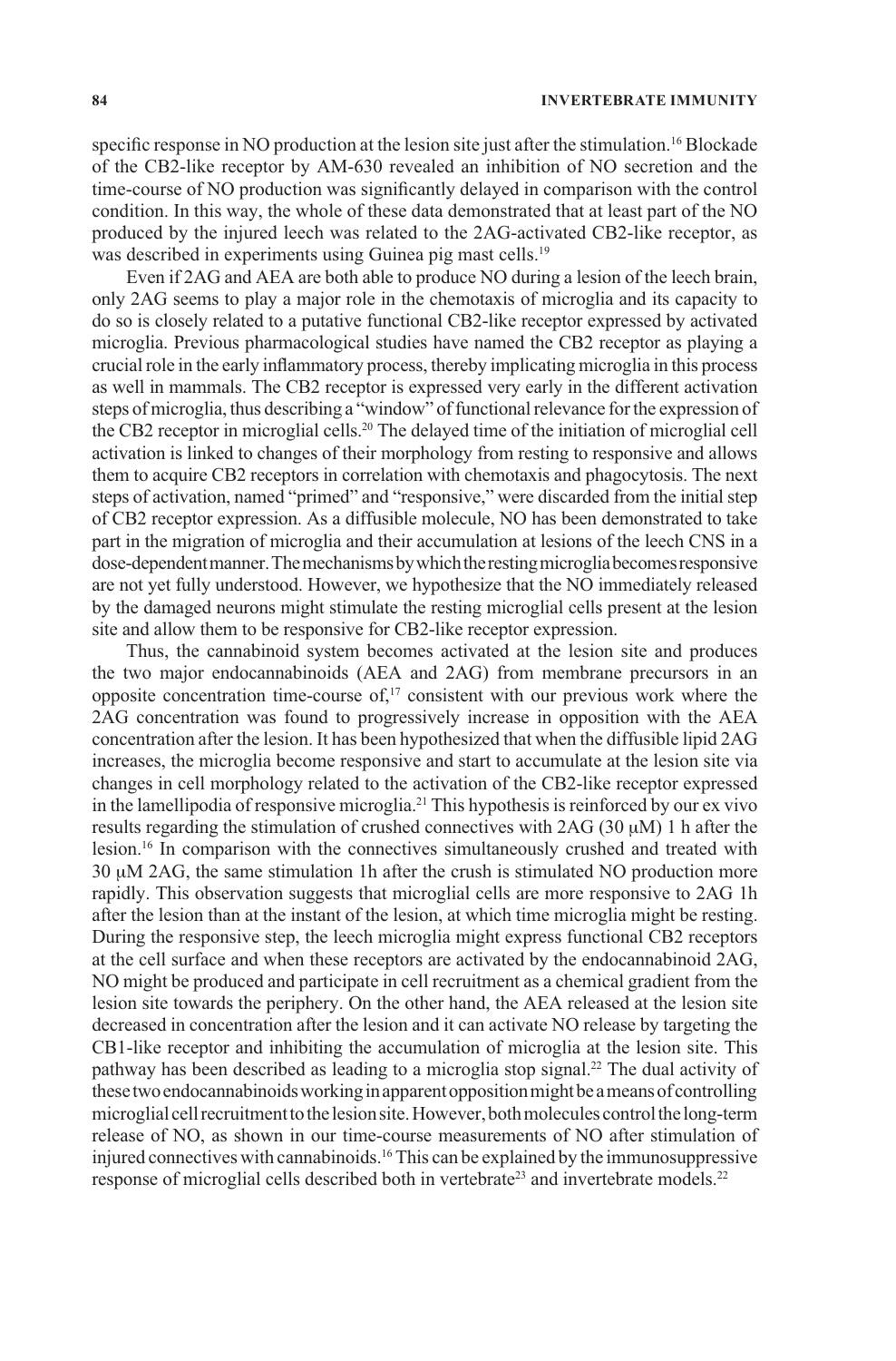specific response in NO production at the lesion site just after the stimulation.<sup>16</sup> Blockade of the CB2-like receptor by AM-630 revealed an inhibition of NO secretion and the time-course of NO production was significantly delayed in comparison with the control condition. In this way, the whole of these data demonstrated that at least part of the NO produced by the injured leech was related to the 2AG-activated CB2-like receptor, as was described in experiments using Guinea pig mast cells.<sup>19</sup>

Even if 2AG and AEA are both able to produce NO during a lesion of the leech brain, only 2AG seems to play a major role in the chemotaxis of microglia and its capacity to do so is closely related to a putative functional CB2-like receptor expressed by activated microglia. Previous pharmacological studies have named the CB2 receptor as playing a crucial role in the early inflammatory process, thereby implicating microglia in this process as well in mammals. The CB2 receptor is expressed very early in the different activation steps of microglia, thus describing a "window" of functional relevance for the expression of the CB2 receptor in microglial cells.<sup>20</sup> The delayed time of the initiation of microglial cell activation is linked to changes of their morphology from resting to responsive and allows them to acquire CB2 receptors in correlation with chemotaxis and phagocytosis. The next steps of activation, named "primed" and "responsive," were discarded from the initial step of CB2 receptor expression. As a diffusible molecule, NO has been demonstrated to take part in the migration of microglia and their accumulation at lesions of the leech CNS in a dose-dependent manner. The mechanisms by which the resting microglia becomes responsive are not yet fully understood. However, we hypothesize that the NO immediately released by the damaged neurons might stimulate the resting microglial cells present at the lesion site and allow them to be responsive for CB2-like receptor expression.

Thus, the cannabinoid system becomes activated at the lesion site and produces the two major endocannabinoids (AEA and 2AG) from membrane precursors in an opposite concentration time-course of, $17$  consistent with our previous work where the 2AG concentration was found to progressively increase in opposition with the AEA concentration after the lesion. It has been hypothesized that when the diffusible lipid 2AG increases, the microglia become responsive and start to accumulate at the lesion site via changes in cell morphology related to the activation of the CB2-like receptor expressed in the lamellipodia of responsive microglia.21 This hypothesis is reinforced by our ex vivo results regarding the stimulation of crushed connectives with  $2AG (30 \mu M)$  1 h after the lesion.16 In comparison with the connectives simultaneously crushed and treated with 30 M 2AG, the same stimulation 1h after the crush is stimulated NO production more rapidly. This observation suggests that microglial cells are more responsive to 2AG 1h after the lesion than at the instant of the lesion, at which time microglia might be resting. During the responsive step, the leech microglia might express functional CB2 receptors at the cell surface and when these receptors are activated by the endocannabinoid 2AG, NO might be produced and participate in cell recruitment as a chemical gradient from the lesion site towards the periphery. On the other hand, the AEA released at the lesion site decreased in concentration after the lesion and it can activate NO release by targeting the CB1-like receptor and inhibiting the accumulation of microglia at the lesion site. This pathway has been described as leading to a microglia stop signal.<sup>22</sup> The dual activity of these two endocannabinoids working in apparent opposition might be a means of controlling microglial cell recruitment to the lesion site. However, both molecules control the long-term release of NO, as shown in our time-course measurements of NO after stimulation of injured connectives with cannabinoids.16 This can be explained by the immunosuppressive response of microglial cells described both in vertebrate<sup>23</sup> and invertebrate models.<sup>22</sup>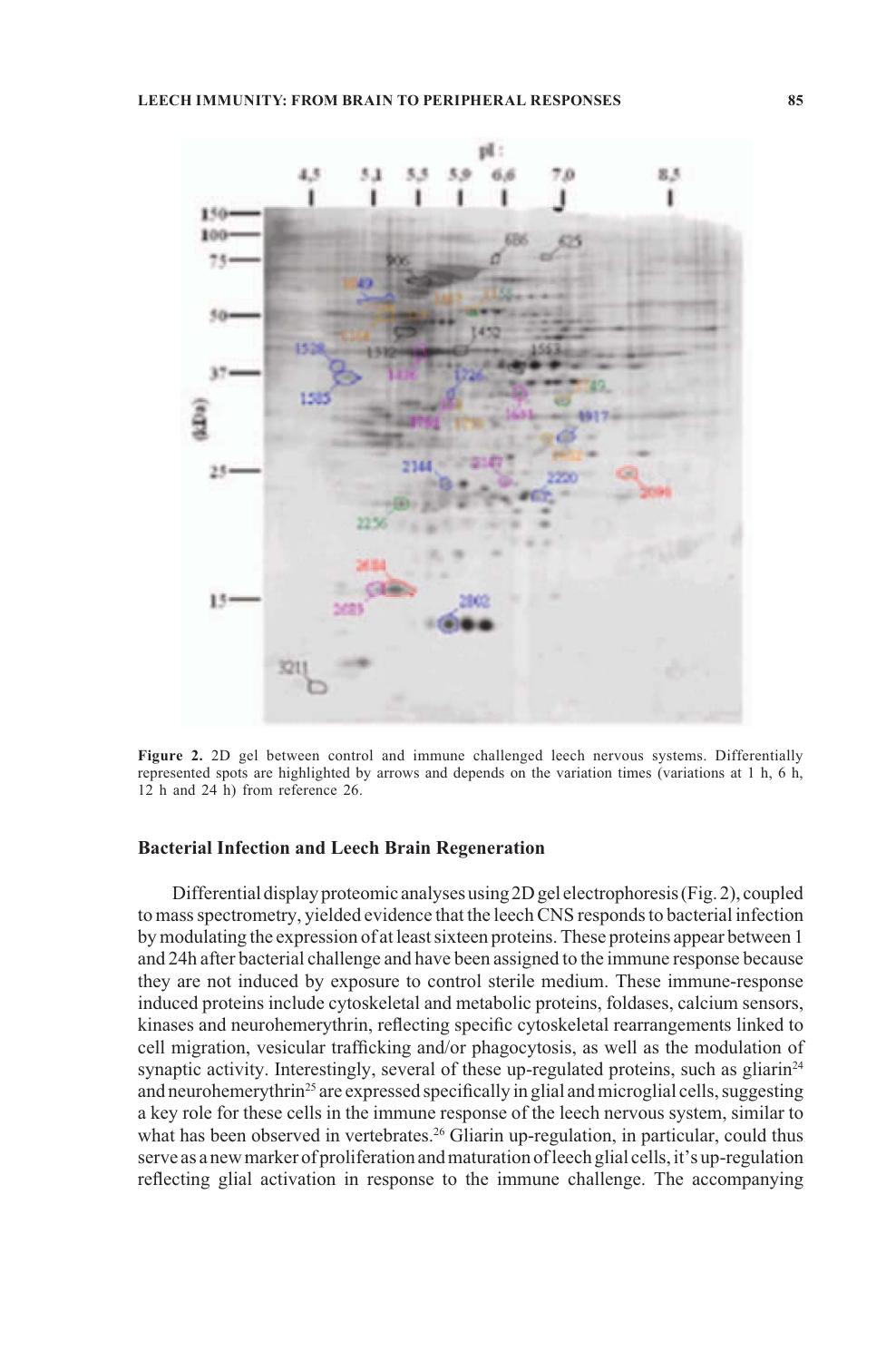

**Figure 2.** 2D gel between control and immune challenged leech nervous systems. Differentially represented spots are highlighted by arrows and depends on the variation times (variations at 1 h, 6 h, 12 h and 24 h) from reference 26.

#### **Bacterial Infection and Leech Brain Regeneration**

Differential display proteomic analyses using 2D gel electrophoresis (Fig. 2), coupled to mass spectrometry, yielded evidence that the leech CNS responds to bacterial infection by modulating the expression of at least sixteen proteins. These proteins appear between 1 and 24h after bacterial challenge and have been assigned to the immune response because they are not induced by exposure to control sterile medium. These immune-response induced proteins include cytoskeletal and metabolic proteins, foldases, calcium sensors, kinases and neurohemerythrin, reflecting specific cytoskeletal rearrangements linked to cell migration, vesicular trafficking and/or phagocytosis, as well as the modulation of synaptic activity. Interestingly, several of these up-regulated proteins, such as gliarin<sup>24</sup> and neurohemerythrin<sup>25</sup> are expressed specifically in glial and microglial cells, suggesting a key role for these cells in the immune response of the leech nervous system, similar to what has been observed in vertebrates.<sup>26</sup> Gliarin up-regulation, in particular, could thus serve as a new marker of proliferation and maturation of leech glial cells, it's up-regulation reflecting glial activation in response to the immune challenge. The accompanying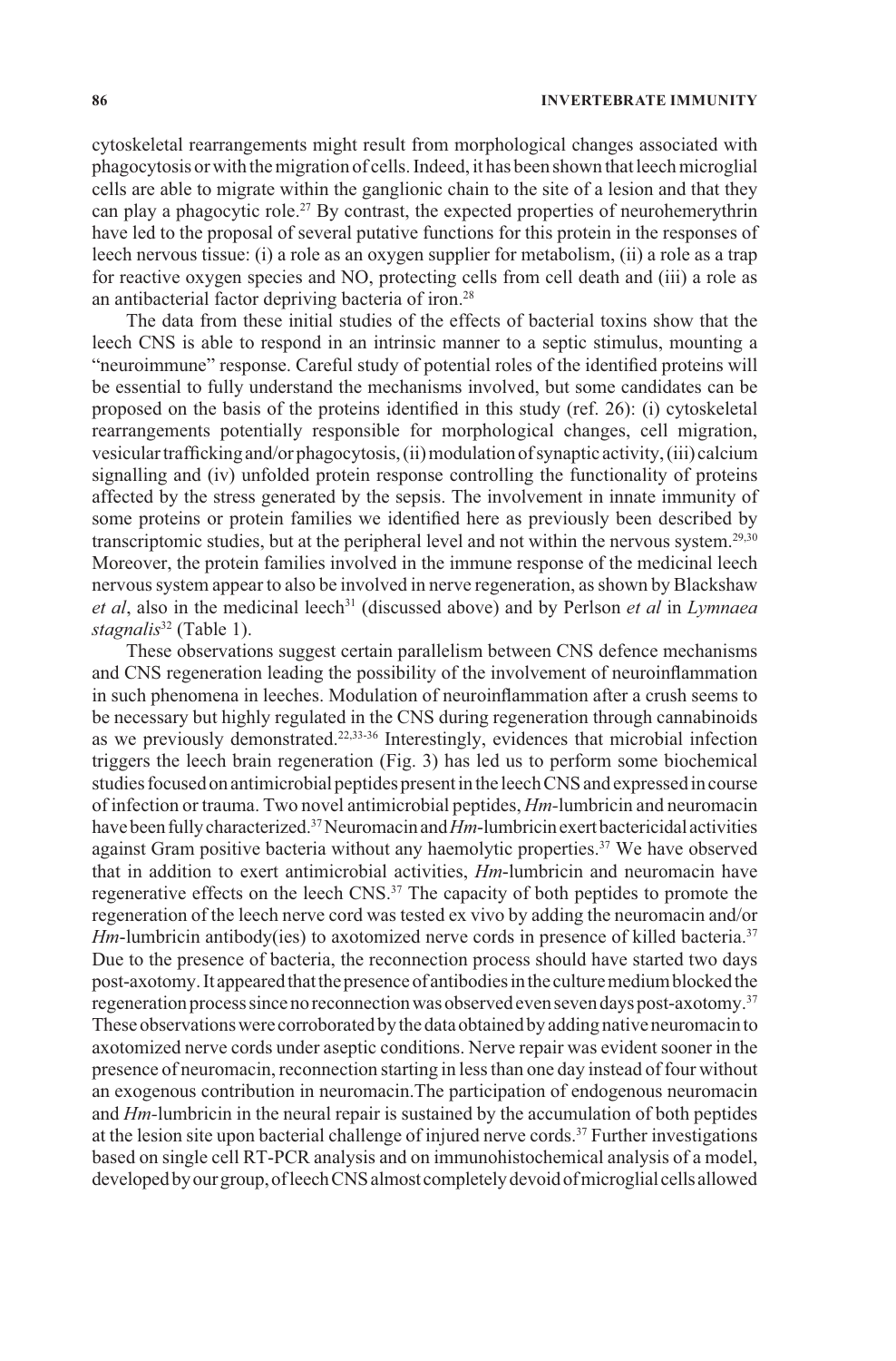cytoskeletal rearrangements might result from morphological changes associated with phagocytosis or with the migration of cells. Indeed, it has been shown that leech microglial cells are able to migrate within the ganglionic chain to the site of a lesion and that they can play a phagocytic role.<sup>27</sup> By contrast, the expected properties of neurohemerythrin have led to the proposal of several putative functions for this protein in the responses of leech nervous tissue: (i) a role as an oxygen supplier for metabolism, (ii) a role as a trap for reactive oxygen species and NO, protecting cells from cell death and (iii) a role as an antibacterial factor depriving bacteria of iron.<sup>28</sup>

The data from these initial studies of the effects of bacterial toxins show that the leech CNS is able to respond in an intrinsic manner to a septic stimulus, mounting a "neuroimmune" response. Careful study of potential roles of the identified proteins will be essential to fully understand the mechanisms involved, but some candidates can be proposed on the basis of the proteins identified in this study (ref. 26): (i) cytoskeletal rearrangements potentially responsible for morphological changes, cell migration, vesicular trafficking and/or phagocytosis, (ii) modulation of synaptic activity, (iii) calcium signalling and (iv) unfolded protein response controlling the functionality of proteins affected by the stress generated by the sepsis. The involvement in innate immunity of some proteins or protein families we identified here as previously been described by transcriptomic studies, but at the peripheral level and not within the nervous system.<sup>29,30</sup> Moreover, the protein families involved in the immune response of the medicinal leech nervous system appear to also be involved in nerve regeneration, as shown by Blackshaw *et al*, also in the medicinal leech31 (discussed above) and by Perlson *et al* in *Lymnaea stagnalis*32 (Table 1).

These observations suggest certain parallelism between CNS defence mechanisms and CNS regeneration leading the possibility of the involvement of neuroinflammation in such phenomena in leeches. Modulation of neuroinflammation after a crush seems to be necessary but highly regulated in the CNS during regeneration through cannabinoids as we previously demonstrated.22,33-36 Interestingly, evidences that microbial infection triggers the leech brain regeneration (Fig. 3) has led us to perform some biochemical studies focused on antimicrobial peptides present in the leech CNS and expressed in course of infection or trauma. Two novel antimicrobial peptides, *Hm-*lumbricin and neuromacin have been fully characterized.37 Neuromacin and *Hm*-lumbricin exert bactericidal activities against Gram positive bacteria without any haemolytic properties.37 We have observed that in addition to exert antimicrobial activities, *Hm*-lumbricin and neuromacin have regenerative effects on the leech CNS.<sup>37</sup> The capacity of both peptides to promote the regeneration of the leech nerve cord was tested ex vivo by adding the neuromacin and/or *Hm*-lumbricin antibody(ies) to axotomized nerve cords in presence of killed bacteria.<sup>37</sup> Due to the presence of bacteria, the reconnection process should have started two days post-axotomy. It appeared that the presence of antibodies in the culture medium blocked the regeneration process since no reconnection was observed even seven days post-axotomy.37 These observations were corroborated by the data obtained by adding native neuromacin to axotomized nerve cords under aseptic conditions. Nerve repair was evident sooner in the presence of neuromacin, reconnection starting in less than one day instead of four without an exogenous contribution in neuromacin.The participation of endogenous neuromacin and *Hm-*lumbricin in the neural repair is sustained by the accumulation of both peptides at the lesion site upon bacterial challenge of injured nerve cords.<sup>37</sup> Further investigations based on single cell RT-PCR analysis and on immunohistochemical analysis of a model, developed by our group, of leech CNS almost completely devoid of microglial cells allowed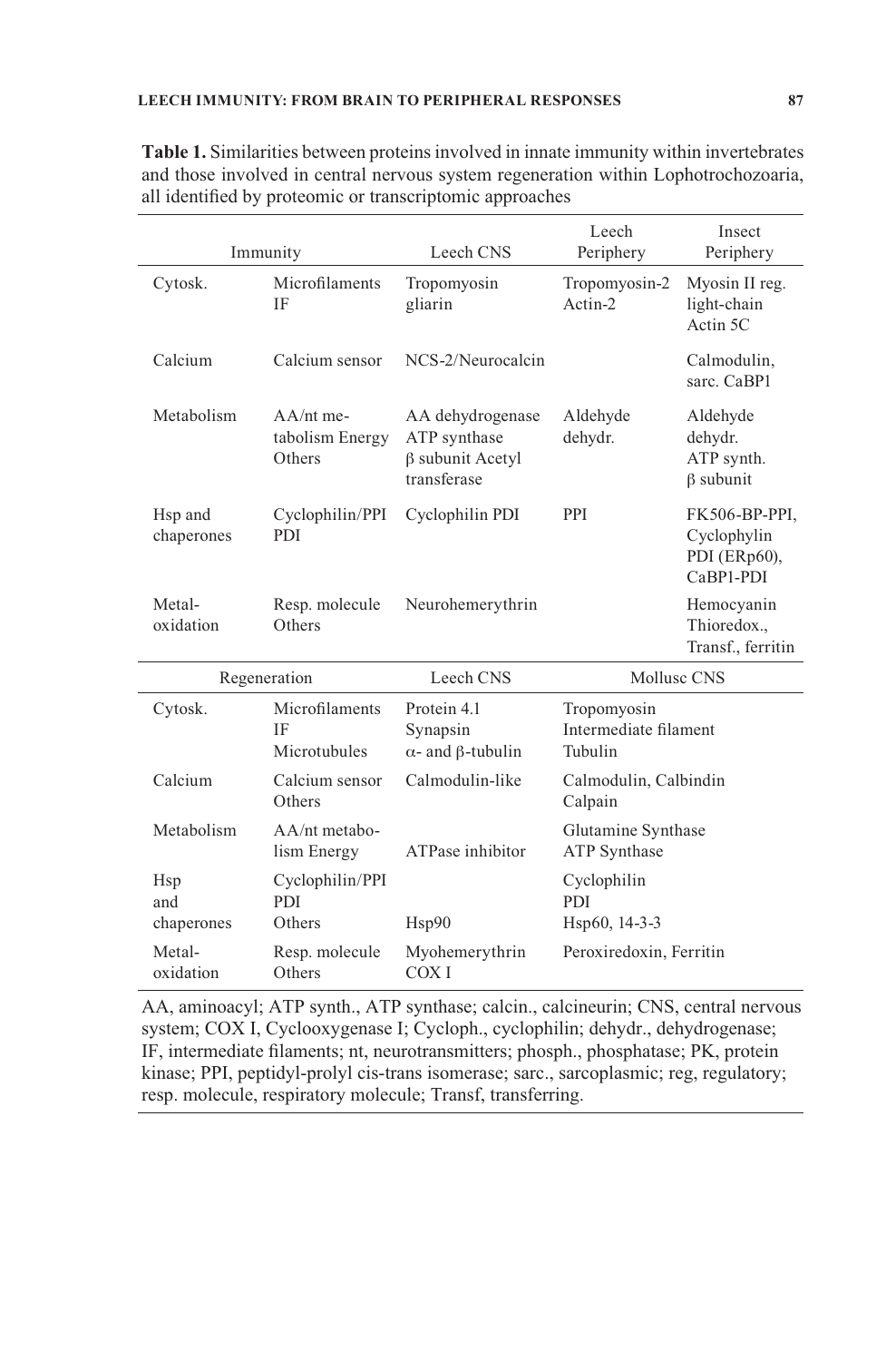|                          | Immunity                                 | Leech CNS                                                                 | Leech<br>Periphery                              | Insect<br>Periphery                                       |  |  |  |
|--------------------------|------------------------------------------|---------------------------------------------------------------------------|-------------------------------------------------|-----------------------------------------------------------|--|--|--|
| Cytosk.                  | Microfilaments<br><b>IF</b>              | Tropomyosin<br>gliarin                                                    | Tropomyosin-2<br>Actin-2                        | Myosin II reg.<br>light-chain<br>Actin 5C                 |  |  |  |
| Calcium                  | Calcium sensor                           | NCS-2/Neurocalcin                                                         |                                                 | Calmodulin,<br>sarc. CaBP1                                |  |  |  |
| Metabolism               | $AA/nt$ me-<br>tabolism Energy<br>Others | AA dehydrogenase<br>ATP synthase<br>$\beta$ subunit Acetyl<br>transferase | Aldehyde<br>dehydr.                             | Aldehyde<br>dehydr.<br>ATP synth.<br>$\beta$ subunit      |  |  |  |
| Hsp and<br>chaperones    | Cyclophilin/PPI<br><b>PDI</b>            | Cyclophilin PDI                                                           | PPI                                             | FK506-BP-PPI,<br>Cyclophylin<br>PDI (ERp60),<br>CaBP1-PDI |  |  |  |
| Metal-<br>oxidation      | Resp. molecule<br>Others                 | Neurohemerythrin                                                          |                                                 | Hemocyanin<br>Thioredox.,<br>Transf., ferritin            |  |  |  |
|                          | Regeneration                             | Leech CNS                                                                 | <b>Mollusc CNS</b>                              |                                                           |  |  |  |
| Cytosk.                  | Microfilaments<br>ΙF<br>Microtubules     | Protein 4.1<br>Synapsin<br>$\alpha$ - and $\beta$ -tubulin                | Tropomyosin<br>Intermediate filament<br>Tubulin |                                                           |  |  |  |
| Calcium                  | Calcium sensor<br>Others                 | Calmodulin-like                                                           | Calmodulin, Calbindin<br>Calpain                |                                                           |  |  |  |
| Metabolism               | $AA/nt$ metabo-<br>lism Energy           | ATPase inhibitor                                                          | Glutamine Synthase<br><b>ATP</b> Synthase       |                                                           |  |  |  |
| Hsp<br>and<br>chaperones | Cyclophilin/PPI<br><b>PDI</b><br>Others  | Hsp90                                                                     | Cyclophilin<br><b>PDI</b><br>Hsp60, 14-3-3      |                                                           |  |  |  |
| Metal-<br>oxidation      | Resp. molecule<br>Others                 | Myohemerythrin<br>COX I                                                   | Peroxiredoxin, Ferritin                         |                                                           |  |  |  |

**Table 1.** Similarities between proteins involved in innate immunity within invertebrates and those involved in central nervous system regeneration within Lophotrochozoaria, all identified by proteomic or transcriptomic approaches

AA, aminoacyl; ATP synth., ATP synthase; calcin., calcineurin; CNS, central nervous system; COX I, Cyclooxygenase I; Cycloph., cyclophilin; dehydr., dehydrogenase; IF, intermediate filaments; nt, neurotransmitters; phosph., phosphatase; PK, protein kinase; PPI, peptidyl-prolyl cis-trans isomerase; sarc., sarcoplasmic; reg, regulatory; resp. molecule, respiratory molecule; Transf, transferring.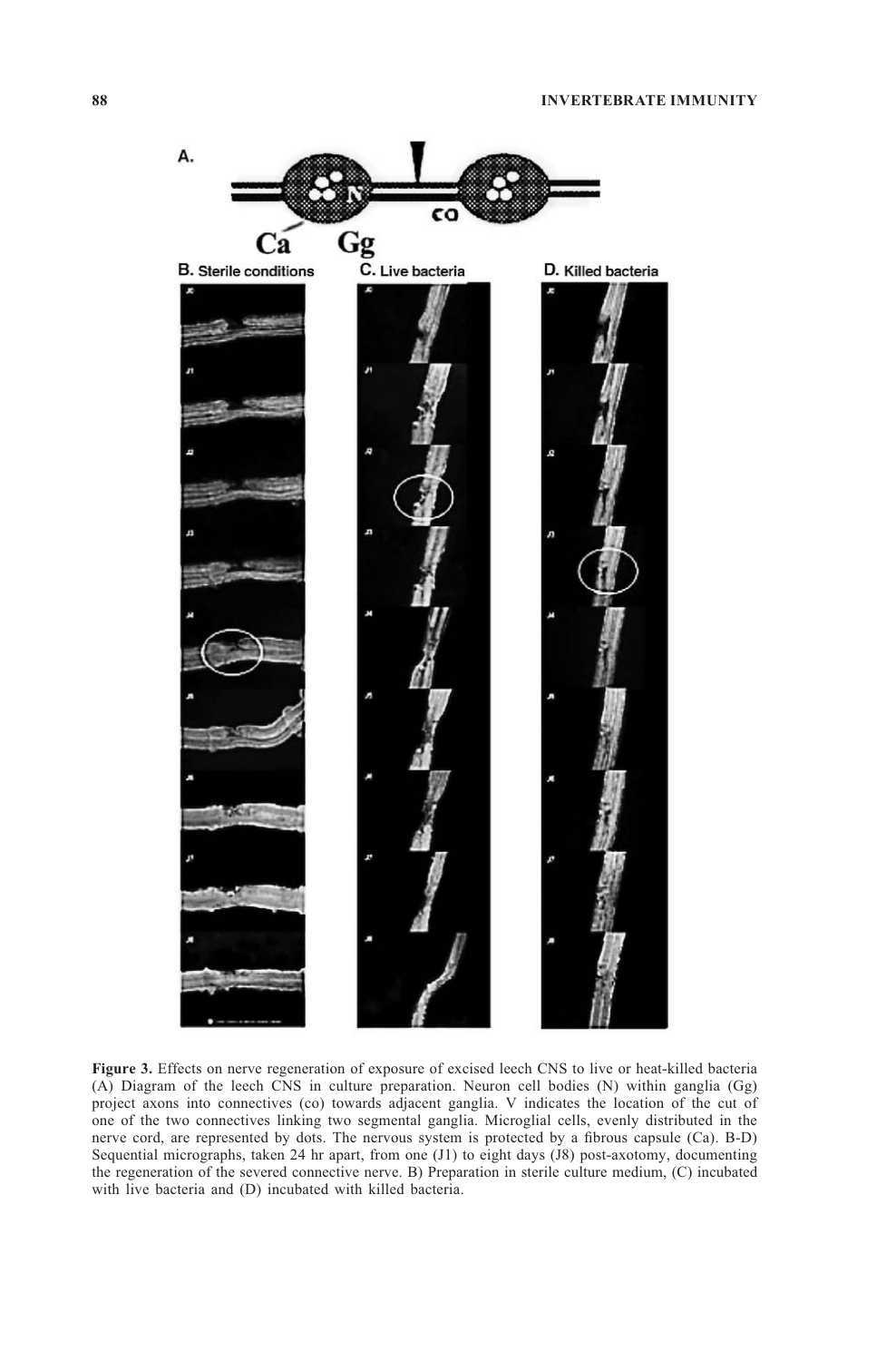

**Figure 3.** Effects on nerve regeneration of exposure of excised leech CNS to live or heat-killed bacteria (A) Diagram of the leech CNS in culture preparation. Neuron cell bodies (N) within ganglia (Gg) project axons into connectives (co) towards adjacent ganglia. V indicates the location of the cut of one of the two connectives linking two segmental ganglia. Microglial cells, evenly distributed in the nerve cord, are represented by dots. The nervous system is protected by a fibrous capsule (Ca). B-D) Sequential micrographs, taken 24 hr apart, from one (J1) to eight days (J8) post-axotomy, documenting the regeneration of the severed connective nerve. B) Preparation in sterile culture medium, (C) incubated with live bacteria and (D) incubated with killed bacteria.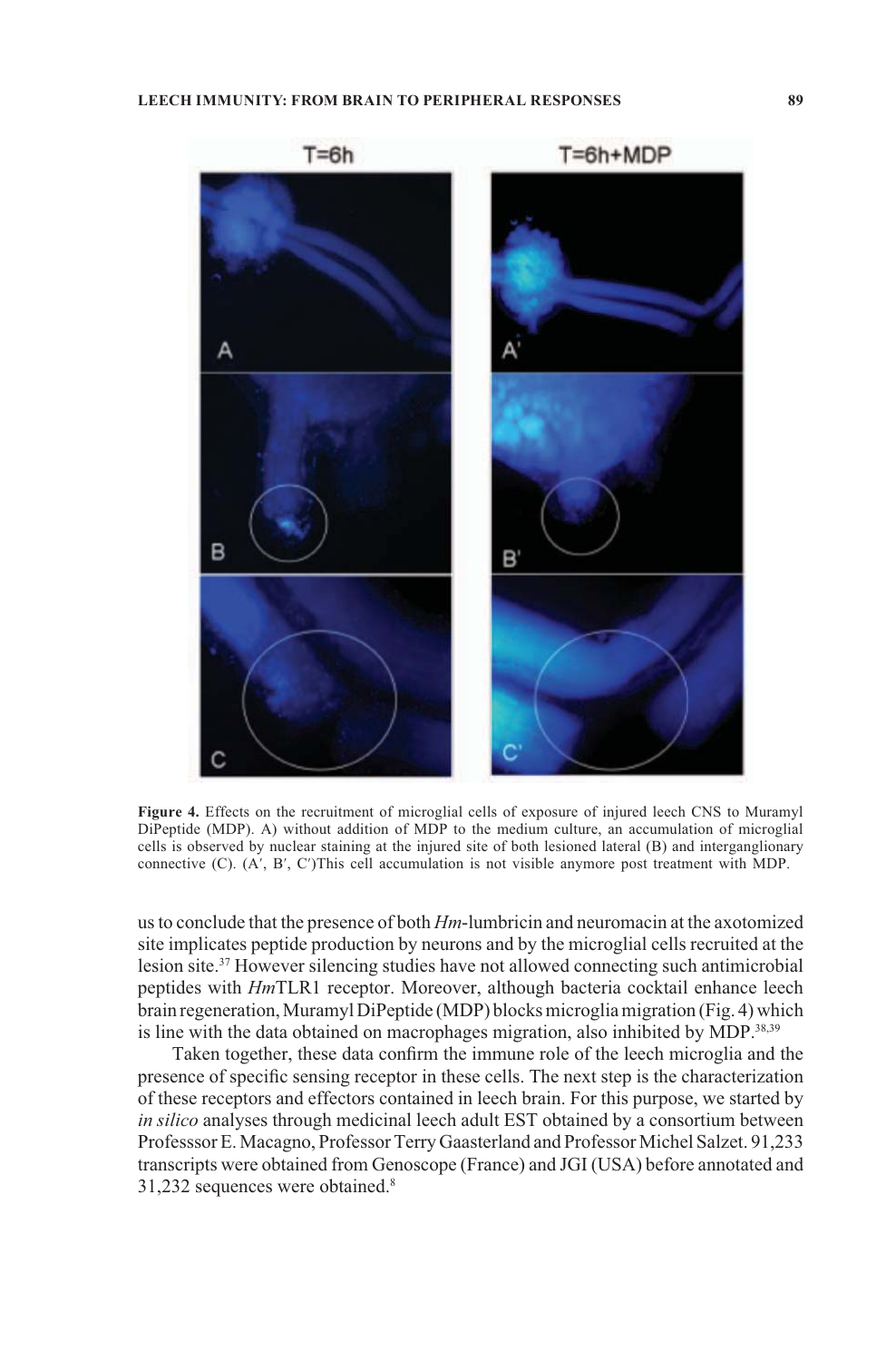

**Figure 4.** Effects on the recruitment of microglial cells of exposure of injured leech CNS to Muramyl DiPeptide (MDP). A) without addition of MDP to the medium culture, an accumulation of microglial cells is observed by nuclear staining at the injured site of both lesioned lateral (B) and interganglionary connective (C). (A', B', C')This cell accumulation is not visible anymore post treatment with MDP.

us to conclude that the presence of both *Hm*-lumbricin and neuromacin at the axotomized site implicates peptide production by neurons and by the microglial cells recruited at the lesion site.37 However silencing studies have not allowed connecting such antimicrobial peptides with *Hm*TLR1 receptor. Moreover, although bacteria cocktail enhance leech brain regeneration, Muramyl DiPeptide (MDP) blocks microglia migration (Fig. 4) which is line with the data obtained on macrophages migration, also inhibited by MDP.<sup>38,39</sup>

Taken together, these data confirm the immune role of the leech microglia and the presence of specific sensing receptor in these cells. The next step is the characterization of these receptors and effectors contained in leech brain. For this purpose, we started by *in silico* analyses through medicinal leech adult EST obtained by a consortium between Professsor E. Macagno, Professor Terry Gaasterland and Professor Michel Salzet. 91,233 transcripts were obtained from Genoscope (France) and JGI (USA) before annotated and 31,232 sequences were obtained.8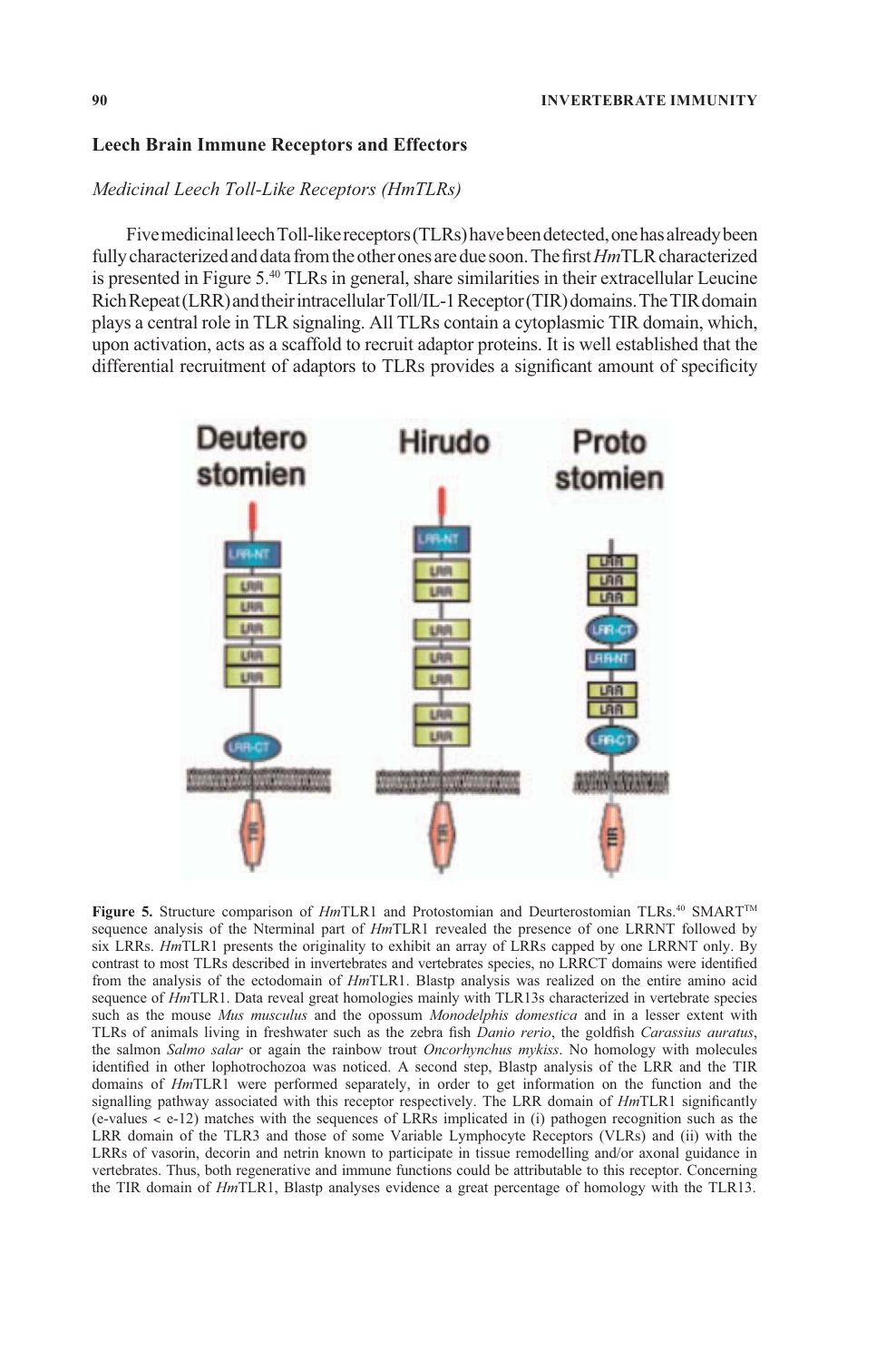#### **Leech Brain Immune Receptors and Effectors**

#### *Medicinal Leech Toll-Like Receptors (HmTLRs)*

Five medicinal leech Toll-like receptors (TLRs) have been detected, one has already been fully characterized and data from the other ones are due soon. The first *Hm*TLR characterized is presented in Figure 5.40 TLRs in general, share similarities in their extracellular Leucine Rich Repeat (LRR) and their intracellular Toll/IL-1 Receptor (TIR) domains. The TIR domain plays a central role in TLR signaling. All TLRs contain a cytoplasmic TIR domain, which, upon activation, acts as a scaffold to recruit adaptor proteins. It is well established that the differential recruitment of adaptors to TLRs provides a significant amount of specificity



**Figure 5.** Structure comparison of *Hm*TLR1 and Protostomian and Deurterostomian TLRs.40 SMARTTM sequence analysis of the Nterminal part of *Hm*TLR1 revealed the presence of one LRRNT followed by six LRRs. *Hm*TLR1 presents the originality to exhibit an array of LRRs capped by one LRRNT only. By contrast to most TLRs described in invertebrates and vertebrates species, no LRRCT domains were identified from the analysis of the ectodomain of *Hm*TLR1. Blastp analysis was realized on the entire amino acid sequence of *Hm*TLR1. Data reveal great homologies mainly with TLR13s characterized in vertebrate species such as the mouse *Mus musculus* and the opossum *Monodelphis domestica* and in a lesser extent with TLRs of animals living in freshwater such as the zebra fish *Danio rerio*, the goldfish *Carassius auratus*, the salmon *Salmo salar* or again the rainbow trout *Oncorhynchus mykiss*. No homology with molecules identified in other lophotrochozoa was noticed. A second step, Blastp analysis of the LRR and the TIR domains of *Hm*TLR1 were performed separately, in order to get information on the function and the signalling pathway associated with this receptor respectively. The LRR domain of  $HmTLR1$  significantly  $(e$ -values  $\lt e$ -12) matches with the sequences of LRRs implicated in (i) pathogen recognition such as the LRR domain of the TLR3 and those of some Variable Lymphocyte Receptors (VLRs) and (ii) with the LRRs of vasorin, decorin and netrin known to participate in tissue remodelling and/or axonal guidance in vertebrates. Thus, both regenerative and immune functions could be attributable to this receptor. Concerning the TIR domain of *Hm*TLR1, Blastp analyses evidence a great percentage of homology with the TLR13.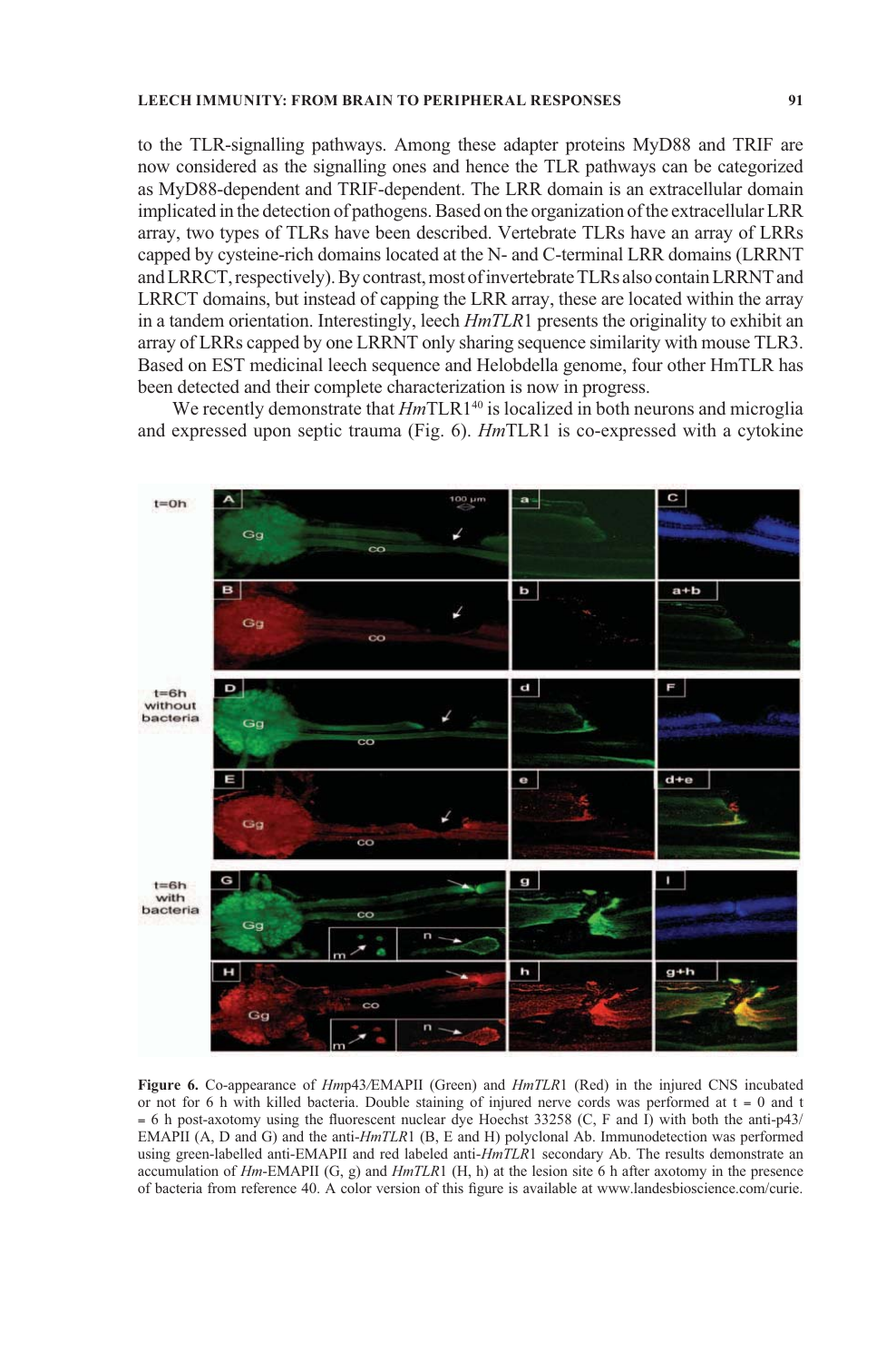#### **LEECH IMMUNITY: FROM BRAIN TO PERIPHERAL RESPONSES 91**

to the TLR-signalling pathways. Among these adapter proteins MyD88 and TRIF are now considered as the signalling ones and hence the TLR pathways can be categorized as MyD88-dependent and TRIF-dependent. The LRR domain is an extracellular domain implicated in the detection of pathogens. Based on the organization of the extracellular LRR array, two types of TLRs have been described. Vertebrate TLRs have an array of LRRs capped by cysteine-rich domains located at the N- and C-terminal LRR domains (LRRNT and LRRCT, respectively). By contrast, most of invertebrate TLRs also contain LRRNT and LRRCT domains, but instead of capping the LRR array, these are located within the array in a tandem orientation. Interestingly, leech *HmTLR*1 presents the originality to exhibit an array of LRRs capped by one LRRNT only sharing sequence similarity with mouse TLR3. Based on EST medicinal leech sequence and Helobdella genome, four other HmTLR has been detected and their complete characterization is now in progress.

We recently demonstrate that *Hm*TLR1<sup>40</sup> is localized in both neurons and microglia and expressed upon septic trauma (Fig. 6). *Hm*TLR1 is co-expressed with a cytokine



**Figure 6.** Co-appearance of *Hm*p43*/*EMAPII (Green) and *HmTLR*1 (Red) in the injured CNS incubated or not for 6 h with killed bacteria. Double staining of injured nerve cords was performed at  $t = 0$  and t  $= 6$  h post-axotomy using the fluorescent nuclear dye Hoechst 33258 (C, F and I) with both the anti-p43/ EMAPII (A, D and G) and the anti-*HmTLR*1 (B, E and H) polyclonal Ab. Immunodetection was performed using green-labelled anti-EMAPII and red labeled anti-*HmTLR*1 secondary Ab. The results demonstrate an accumulation of *Hm*-EMAPII (G, g) and *HmTLR*1 (H, h) at the lesion site 6 h after axotomy in the presence of bacteria from reference 40. A color version of this figure is available at www.landesbioscience.com/curie.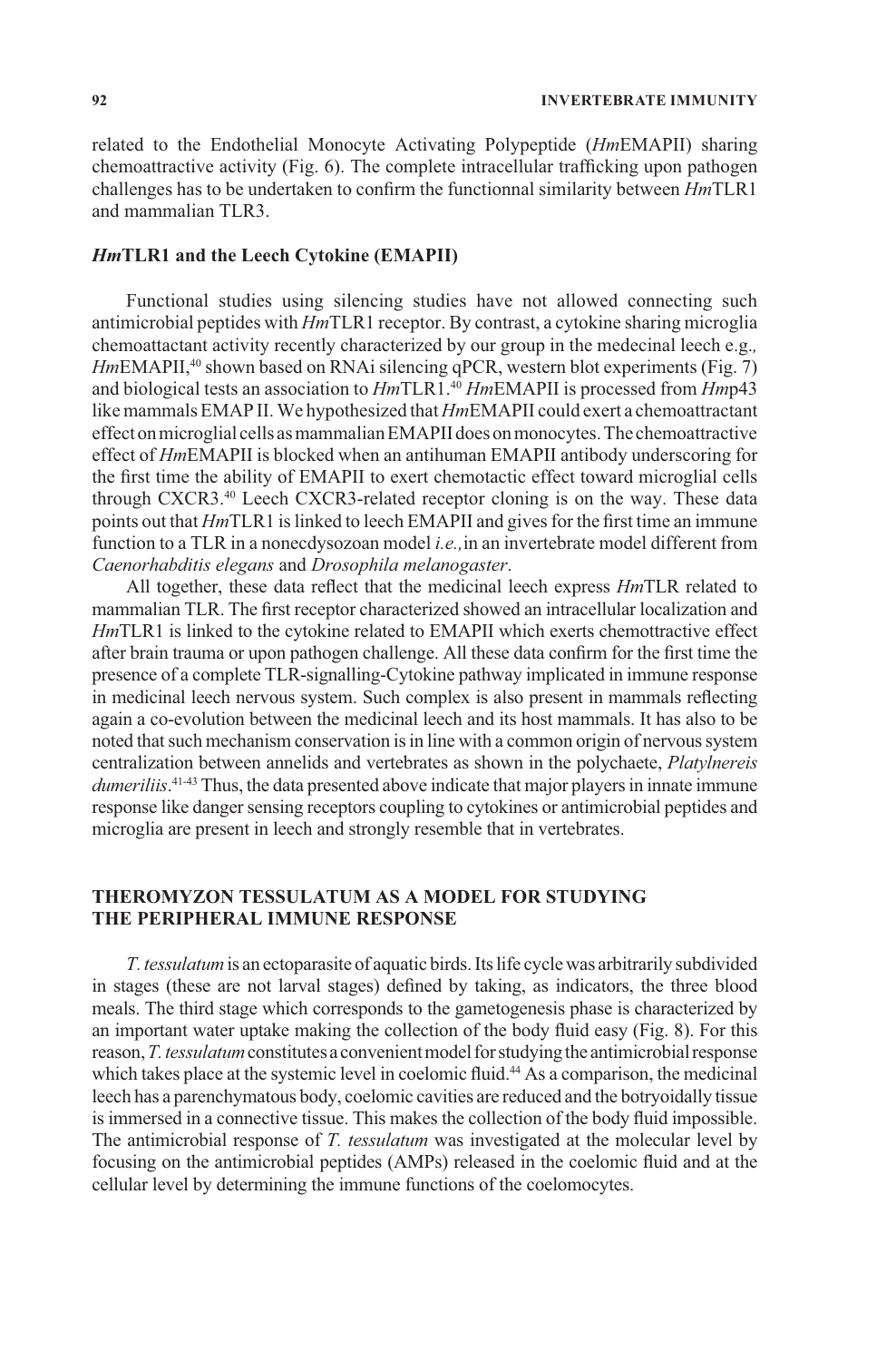related to the Endothelial Monocyte Activating Polypeptide (*Hm*EMAPII) sharing chemoattractive activity (Fig. 6). The complete intracellular trafficking upon pathogen challenges has to be undertaken to confirm the functionnal similarity between  $HmTLR1$ and mammalian TLR3.

#### *Hm***TLR1 and the Leech Cytokine (EMAPII)**

Functional studies using silencing studies have not allowed connecting such antimicrobial peptides with *Hm*TLR1 receptor. By contrast, a cytokine sharing microglia chemoattactant activity recently characterized by our group in the medecinal leech e.g.*, HmEMAPII*,<sup>40</sup> shown based on RNAi silencing qPCR, western blot experiments (Fig. 7) and biological tests an association to *Hm*TLR1.40 *Hm*EMAPII is processed from *Hm*p43 like mammals EMAP II. We hypothesized that *Hm*EMAPII could exert a chemoattractant effect on microglial cells as mammalian EMAPII does on monocytes. The chemoattractive effect of *Hm*EMAPII is blocked when an antihuman EMAPII antibody underscoring for the first time the ability of EMAPII to exert chemotactic effect toward microglial cells through CXCR3.40 Leech CXCR3-related receptor cloning is on the way. These data points out that *Hm*TLR1 is linked to leech EMAPII and gives for the first time an immune function to a TLR in a nonecdysozoan model *i.e.,*in an invertebrate model different from *Caenorhabditis elegans* and *Drosophila melanogaster*.

All together, these data reflect that the medicinal leech express  $HmTLR$  related to mammalian TLR. The first receptor characterized showed an intracellular localization and *Hm*TLR1 is linked to the cytokine related to EMAPII which exerts chemottractive effect after brain trauma or upon pathogen challenge. All these data confirm for the first time the presence of a complete TLR-signalling-Cytokine pathway implicated in immune response in medicinal leech nervous system. Such complex is also present in mammals reflecting again a co-evolution between the medicinal leech and its host mammals. It has also to be noted that such mechanism conservation is in line with a common origin of nervous system centralization between annelids and vertebrates as shown in the polychaete, *Platylnereis dumeriliis*. 41-43 Thus, the data presented above indicate that major players in innate immune response like danger sensing receptors coupling to cytokines or antimicrobial peptides and microglia are present in leech and strongly resemble that in vertebrates.

## **THEROMYZON TESSULATUM AS A MODEL FOR STUDYING THE PERIPHERAL IMMUNE RESPONSE**

*T. tessulatum* is an ectoparasite of aquatic birds. Its life cycle was arbitrarily subdivided in stages (these are not larval stages) defined by taking, as indicators, the three blood meals. The third stage which corresponds to the gametogenesis phase is characterized by an important water uptake making the collection of the body fluid easy (Fig. 8). For this reason, *T. tessulatum* constitutes a convenient model for studying the antimicrobial response which takes place at the systemic level in coelomic fluid.<sup>44</sup> As a comparison, the medicinal leech has a parenchymatous body, coelomic cavities are reduced and the botryoidally tissue is immersed in a connective tissue. This makes the collection of the body fluid impossible. The antimicrobial response of *T. tessulatum* was investigated at the molecular level by focusing on the antimicrobial peptides (AMPs) released in the coelomic fluid and at the cellular level by determining the immune functions of the coelomocytes.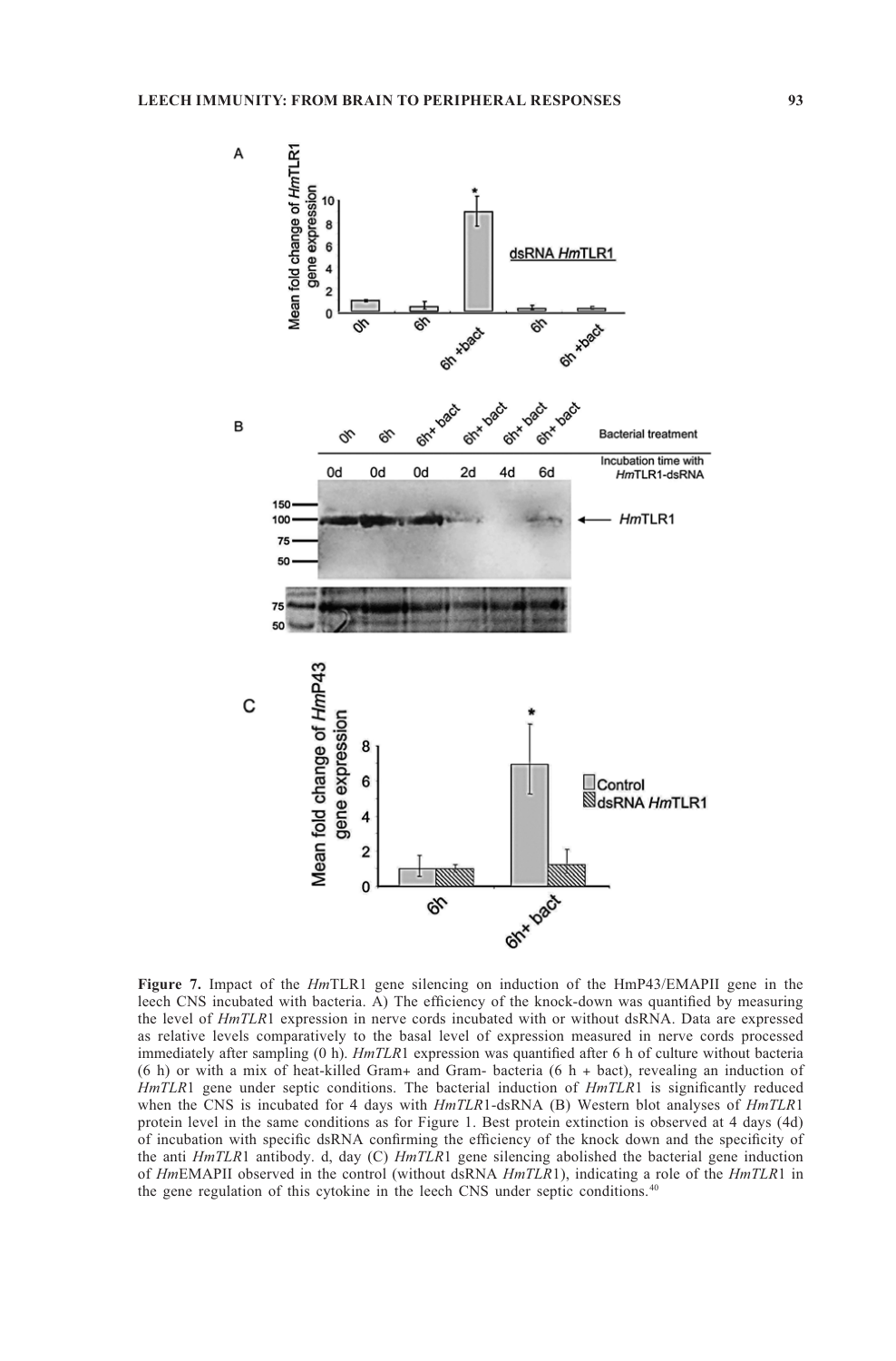

Figure 7. Impact of the *Hm*TLR1 gene silencing on induction of the HmP43/EMAPII gene in the leech CNS incubated with bacteria. A) The efficiency of the knock-down was quantified by measuring the level of *HmTLR*1 expression in nerve cords incubated with or without dsRNA. Data are expressed as relative levels comparatively to the basal level of expression measured in nerve cords processed immediately after sampling (0 h). *HmTLR*1 expression was quantified after 6 h of culture without bacteria (6 h) or with a mix of heat-killed Gram+ and Gram- bacteria (6 h + bact), revealing an induction of *HmTLR*1 gene under septic conditions. The bacterial induction of *HmTLR*1 is significantly reduced when the CNS is incubated for 4 days with *HmTLR*1-dsRNA (B) Western blot analyses of *HmTLR*1 protein level in the same conditions as for Figure 1. Best protein extinction is observed at 4 days (4d) of incubation with specific dsRNA confirming the efficiency of the knock down and the specificity of the anti *HmTLR*1 antibody. d, day (C) *HmTLR*1 gene silencing abolished the bacterial gene induction of *Hm*EMAPII observed in the control (without dsRNA *HmTLR*1), indicating a role of the *HmTLR*1 in the gene regulation of this cytokine in the leech CNS under septic conditions.<sup>40</sup>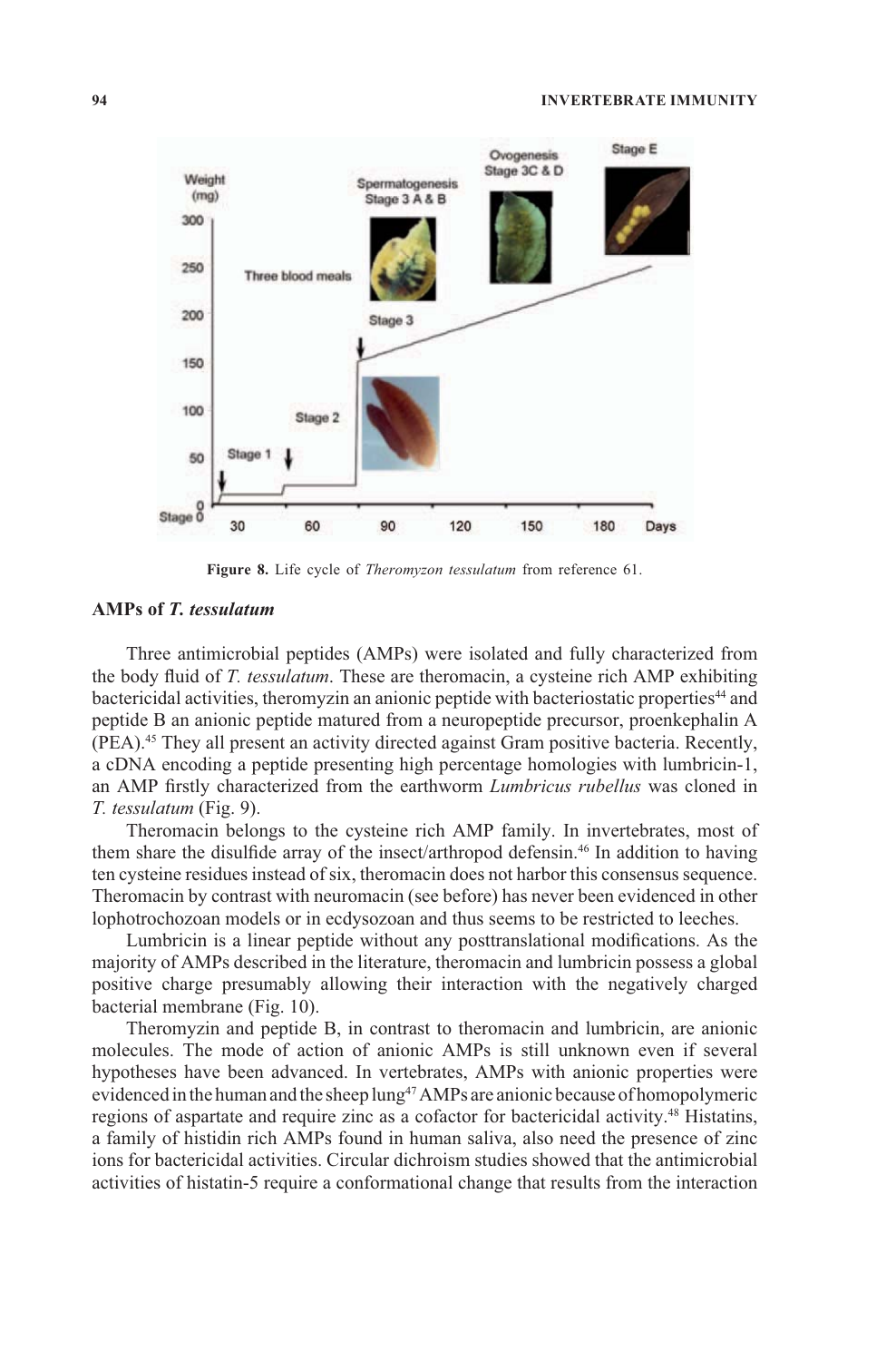

**Figure 8.** Life cycle of *Theromyzon tessulatum* from reference 61.

#### **AMPs of** *T. tessulatum*

Three antimicrobial peptides (AMPs) were isolated and fully characterized from *T. tessulatum*. These are theromacin, a cysteine rich AMP exhibiting bactericidal activities, theromyzin an anionic peptide with bacteriostatic properties<sup>44</sup> and peptide B an anionic peptide matured from a neuropeptide precursor, proenkephalin A (PEA).45 They all present an activity directed against Gram positive bacteria. Recently, a cDNA encoding a peptide presenting high percentage homologies with lumbricin-1, an AMP firstly characterized from the earthworm *Lumbricus rubellus* was cloned in *T. tessulatum* (Fig. 9).

Theromacin belongs to the cysteine rich AMP family. In invertebrates, most of them share the disulfide array of the insect/arthropod defensin.<sup>46</sup> In addition to having ten cysteine residues instead of six, theromacin does not harbor this consensus sequence. Theromacin by contrast with neuromacin (see before) has never been evidenced in other lophotrochozoan models or in ecdysozoan and thus seems to be restricted to leeches.

Lumbricin is a linear peptide without any posttranslational modifications. As the majority of AMPs described in the literature, theromacin and lumbricin possess a global positive charge presumably allowing their interaction with the negatively charged bacterial membrane (Fig. 10).

Theromyzin and peptide B, in contrast to theromacin and lumbricin, are anionic molecules. The mode of action of anionic AMPs is still unknown even if several hypotheses have been advanced. In vertebrates, AMPs with anionic properties were evidenced in the human and the sheep lung<sup>47</sup> AMPs are anionic because of homopolymeric regions of aspartate and require zinc as a cofactor for bactericidal activity.<sup>48</sup> Histatins, a family of histidin rich AMPs found in human saliva, also need the presence of zinc ions for bactericidal activities. Circular dichroism studies showed that the antimicrobial activities of histatin-5 require a conformational change that results from the interaction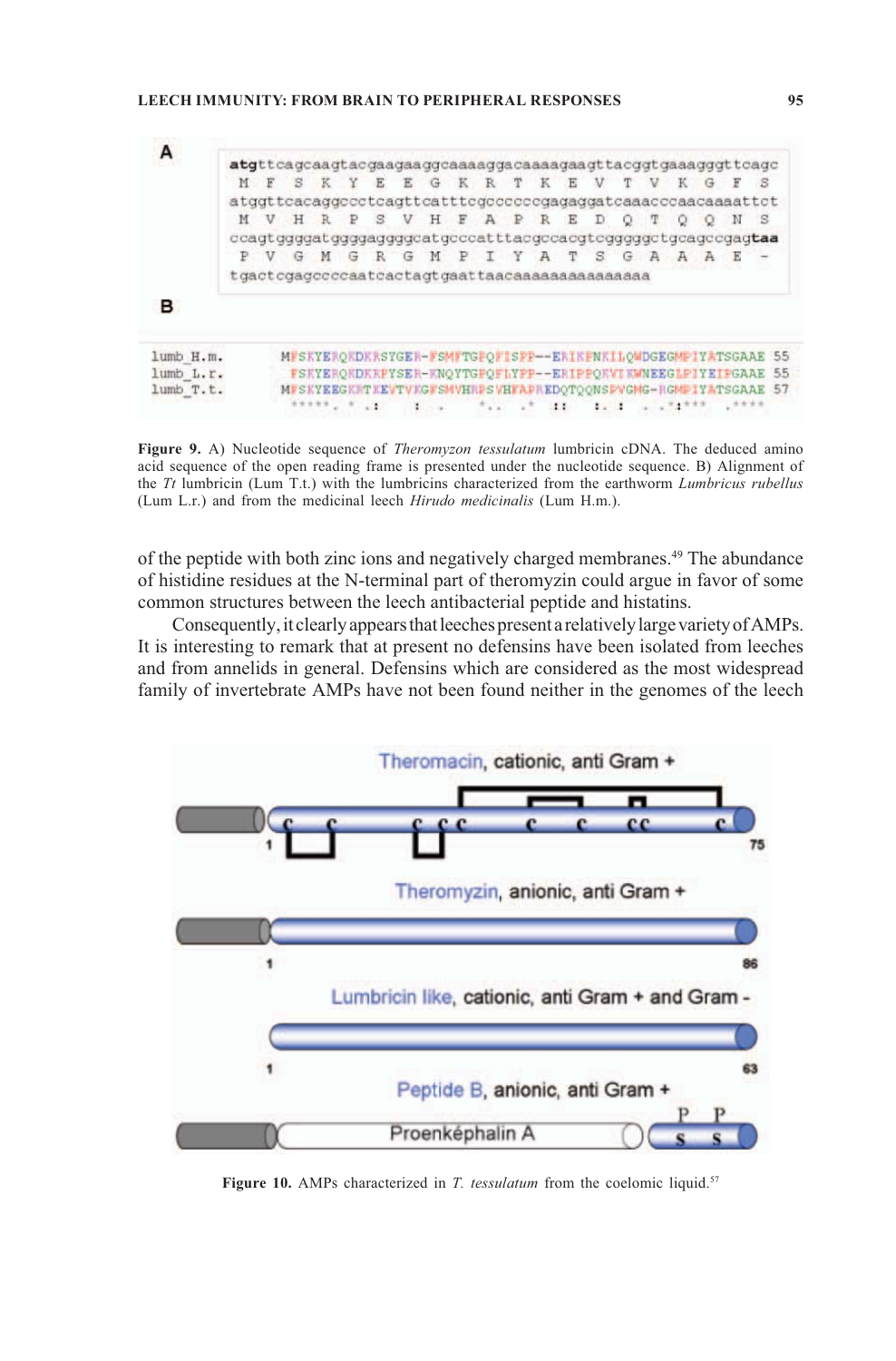|           |                                                              |  |         |  |     |  |  | M F S K Y E E G K R T K E V T V                                                                                                 |  |  |  |  |            |   |   |         |    | -8   |
|-----------|--------------------------------------------------------------|--|---------|--|-----|--|--|---------------------------------------------------------------------------------------------------------------------------------|--|--|--|--|------------|---|---|---------|----|------|
|           | atggttcacaggccctcagttcatttcgccccccgagaggatcaaacccaacaaaattct |  |         |  |     |  |  |                                                                                                                                 |  |  |  |  |            |   |   |         |    |      |
|           |                                                              |  |         |  |     |  |  | M V H R P S V H F A P R E D                                                                                                     |  |  |  |  | $^{\circ}$ | т | 0 | $\circ$ | 'N | - 18 |
|           | ccagtggggatgggggggggcatgcccatttacgccacgtcgggggctgcagccgagtaa |  |         |  |     |  |  |                                                                                                                                 |  |  |  |  |            |   |   |         |    |      |
|           |                                                              |  | P V G M |  | - 6 |  |  | RGMPIYATSGAAAE                                                                                                                  |  |  |  |  |            |   |   |         |    |      |
|           |                                                              |  |         |  |     |  |  |                                                                                                                                 |  |  |  |  |            |   |   |         |    |      |
|           |                                                              |  |         |  |     |  |  |                                                                                                                                 |  |  |  |  |            |   |   |         |    |      |
|           |                                                              |  |         |  |     |  |  |                                                                                                                                 |  |  |  |  |            |   |   |         |    |      |
| в         |                                                              |  |         |  |     |  |  |                                                                                                                                 |  |  |  |  |            |   |   |         |    |      |
|           |                                                              |  |         |  |     |  |  |                                                                                                                                 |  |  |  |  |            |   |   |         |    |      |
| lumb H.m. |                                                              |  |         |  |     |  |  |                                                                                                                                 |  |  |  |  |            |   |   |         |    |      |
| lumb L.r. |                                                              |  |         |  |     |  |  | MESKYERQKDKRSYGER-FSMFTGFQFISFP--ERIKFNKILQWDGEGMFIYATSGAAE 55<br>FSKYEROKDKRFYSER-KNOYTGFOFIYFP--ERIPFOKYIKWNEEGLFIYEIFGAAE 55 |  |  |  |  |            |   |   |         |    |      |

**Figure 9.** A) Nucleotide sequence of *Theromyzon tessulatum* lumbricin cDNA. The deduced amino acid sequence of the open reading frame is presented under the nucleotide sequence. B) Alignment of the *Tt* lumbricin (Lum T.t.) with the lumbricins characterized from the earthworm *Lumbricus rubellus* (Lum L.r.) and from the medicinal leech *Hirudo medicinalis* (Lum H.m.).

of the peptide with both zinc ions and negatively charged membranes.<sup>49</sup> The abundance of histidine residues at the N-terminal part of theromyzin could argue in favor of some common structures between the leech antibacterial peptide and histatins.

Consequently, it clearly appears that leeches present a relatively large variety of AMPs. It is interesting to remark that at present no defensins have been isolated from leeches and from annelids in general. Defensins which are considered as the most widespread family of invertebrate AMPs have not been found neither in the genomes of the leech



**Figure 10.** AMPs characterized in *T. tessulatum* from the coelomic liquid.<sup>57</sup>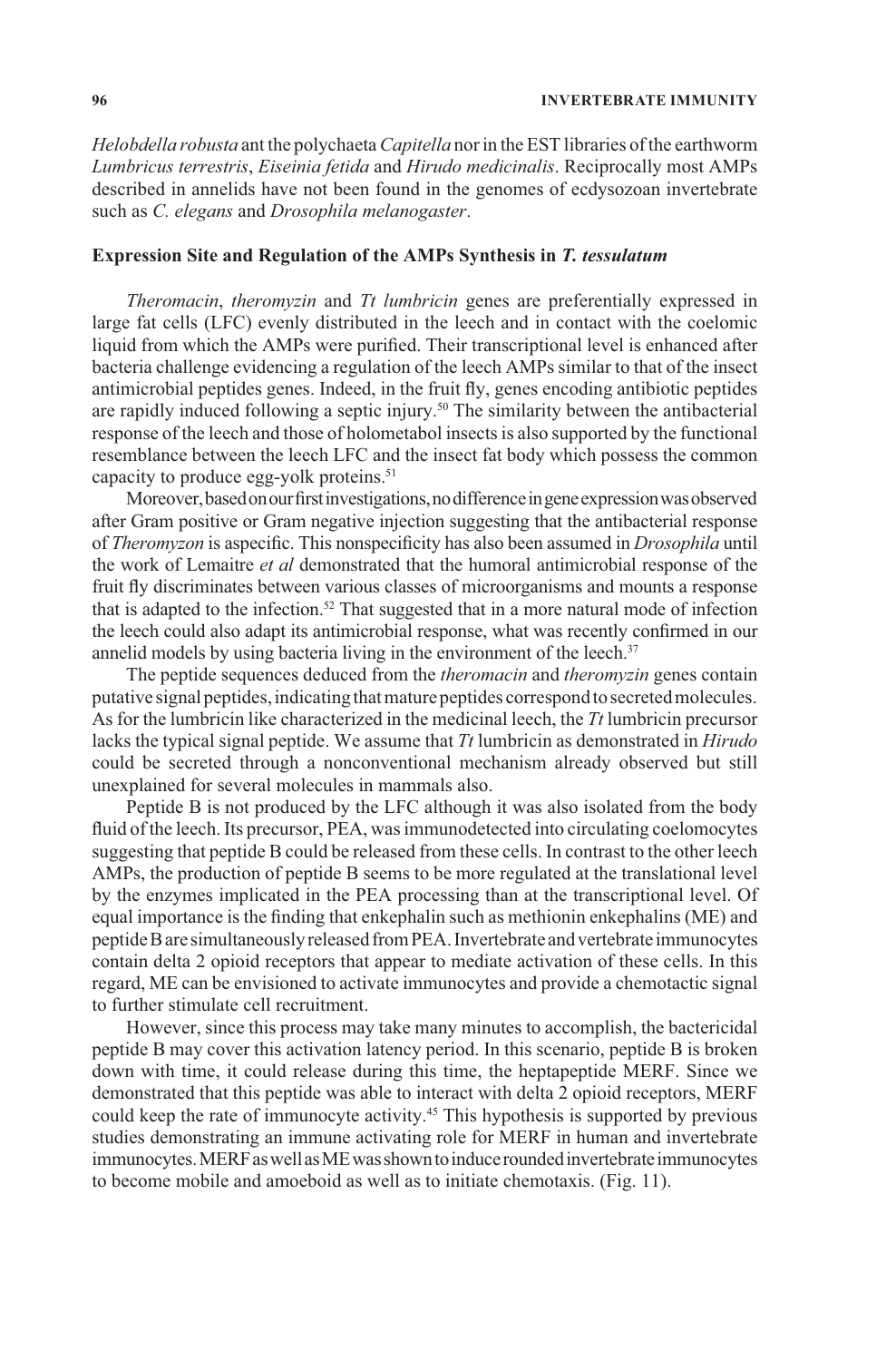*Helobdella robusta* ant the polychaeta *Capitella* nor in the EST libraries of the earthworm *Lumbricus terrestris*, *Eiseinia fetida* and *Hirudo medicinalis*. Reciprocally most AMPs described in annelids have not been found in the genomes of ecdysozoan invertebrate such as *C. elegans* and *Drosophila melanogaster*.

#### **Expression Site and Regulation of the AMPs Synthesis in** *T. tessulatum*

*Theromacin*, *theromyzin* and *Tt lumbricin* genes are preferentially expressed in large fat cells (LFC) evenly distributed in the leech and in contact with the coelomic liquid from which the AMPs were purified. Their transcriptional level is enhanced after bacteria challenge evidencing a regulation of the leech AMPs similar to that of the insect antimicrobial peptides genes. Indeed, in the fruit fly, genes encoding antibiotic peptides are rapidly induced following a septic injury.<sup>50</sup> The similarity between the antibacterial response of the leech and those of holometabol insects is also supported by the functional resemblance between the leech LFC and the insect fat body which possess the common capacity to produce egg-yolk proteins.<sup>51</sup>

Moreover, based on our first investigations, no difference in gene expression was observed after Gram positive or Gram negative injection suggesting that the antibacterial response of *Theromyzon* is aspecific. This nonspecificity has also been assumed in *Drosophila* until the work of Lemaitre *et al* demonstrated that the humoral antimicrobial response of the fruit fly discriminates between various classes of microorganisms and mounts a response that is adapted to the infection.<sup>52</sup> That suggested that in a more natural mode of infection the leech could also adapt its antimicrobial response, what was recently confirmed in our annelid models by using bacteria living in the environment of the leech.<sup>37</sup>

The peptide sequences deduced from the *theromacin* and *theromyzin* genes contain putative signal peptides, indicating that mature peptides correspond to secreted molecules. As for the lumbricin like characterized in the medicinal leech, the *Tt* lumbricin precursor lacks the typical signal peptide. We assume that *Tt* lumbricin as demonstrated in *Hirudo* could be secreted through a nonconventional mechanism already observed but still unexplained for several molecules in mammals also.

Peptide B is not produced by the LFC although it was also isolated from the body fluid of the leech. Its precursor, PEA, was immunodetected into circulating coelomocytes suggesting that peptide B could be released from these cells. In contrast to the other leech AMPs, the production of peptide B seems to be more regulated at the translational level by the enzymes implicated in the PEA processing than at the transcriptional level. Of equal importance is the finding that enkephalin such as methionin enkephalins (ME) and peptide B are simultaneously released from PEA. Invertebrate and vertebrate immunocytes contain delta 2 opioid receptors that appear to mediate activation of these cells. In this regard, ME can be envisioned to activate immunocytes and provide a chemotactic signal to further stimulate cell recruitment.

However, since this process may take many minutes to accomplish, the bactericidal peptide B may cover this activation latency period. In this scenario, peptide B is broken down with time, it could release during this time, the heptapeptide MERF. Since we demonstrated that this peptide was able to interact with delta 2 opioid receptors, MERF could keep the rate of immunocyte activity.<sup>45</sup> This hypothesis is supported by previous studies demonstrating an immune activating role for MERF in human and invertebrate immunocytes. MERF as well as ME was shown to induce rounded invertebrate immunocytes to become mobile and amoeboid as well as to initiate chemotaxis. (Fig. 11).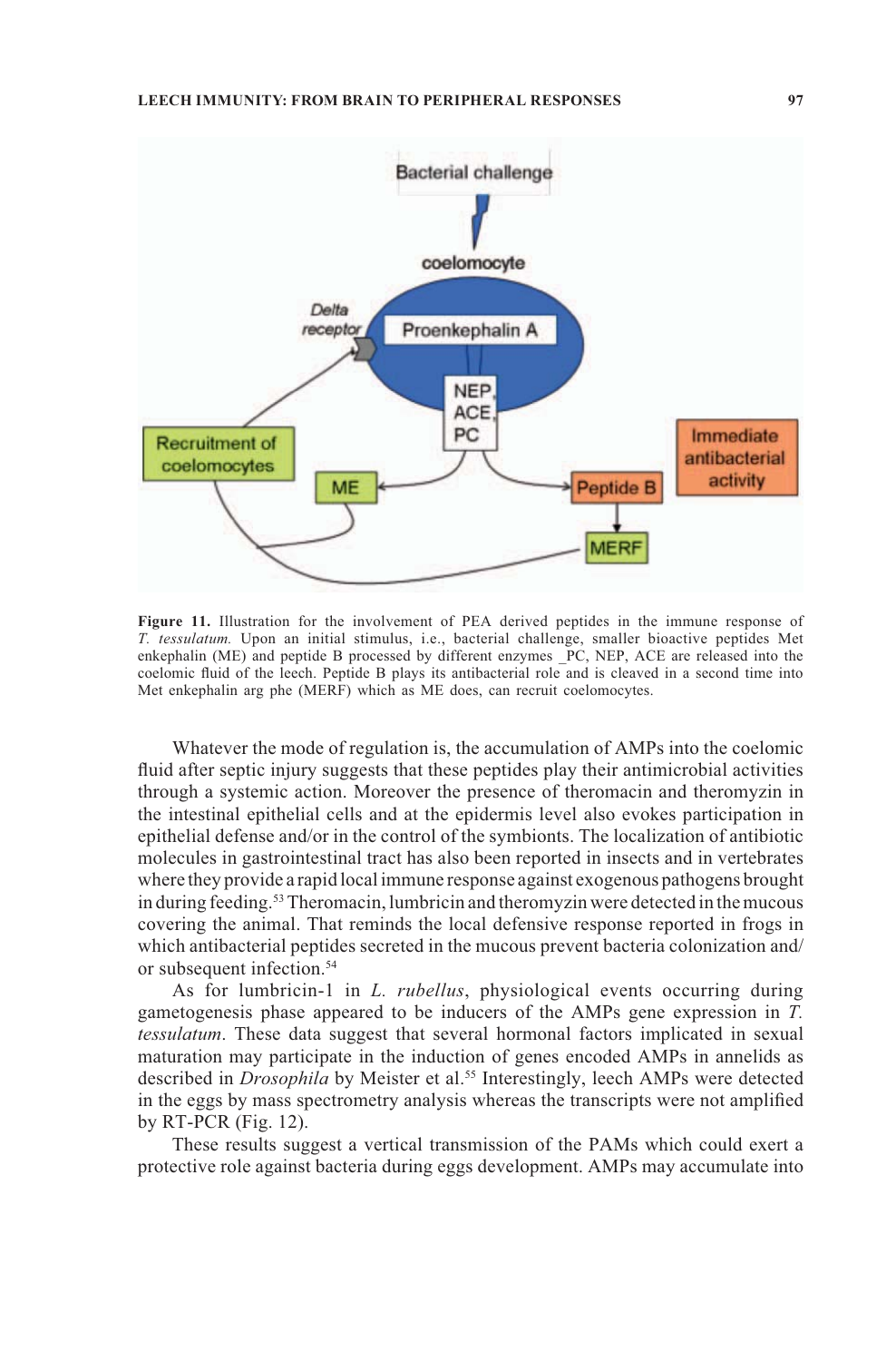

**Figure 11.** Illustration for the involvement of PEA derived peptides in the immune response of *T. tessulatum.* Upon an initial stimulus, i.e., bacterial challenge, smaller bioactive peptides Met enkephalin (ME) and peptide B processed by different enzymes \_PC, NEP, ACE are released into the coelomic fluid of the leech. Peptide B plays its antibacterial role and is cleaved in a second time into Met enkephalin arg phe (MERF) which as ME does, can recruit coelomocytes.

Whatever the mode of regulation is, the accumulation of AMPs into the coelomic fluid after septic injury suggests that these peptides play their antimicrobial activities through a systemic action. Moreover the presence of theromacin and theromyzin in the intestinal epithelial cells and at the epidermis level also evokes participation in epithelial defense and/or in the control of the symbionts. The localization of antibiotic molecules in gastrointestinal tract has also been reported in insects and in vertebrates where they provide a rapid local immune response against exogenous pathogens brought in during feeding.<sup>53</sup> Theromacin, lumbricin and theromyzin were detected in the mucous covering the animal. That reminds the local defensive response reported in frogs in which antibacterial peptides secreted in the mucous prevent bacteria colonization and/ or subsequent infection.<sup>54</sup>

As for lumbricin-1 in *L. rubellus*, physiological events occurring during gametogenesis phase appeared to be inducers of the AMPs gene expression in *T. tessulatum*. These data suggest that several hormonal factors implicated in sexual maturation may participate in the induction of genes encoded AMPs in annelids as described in *Drosophila* by Meister et al.55 Interestingly, leech AMPs were detected in the eggs by mass spectrometry analysis whereas the transcripts were not amplified by RT-PCR (Fig. 12).

These results suggest a vertical transmission of the PAMs which could exert a protective role against bacteria during eggs development. AMPs may accumulate into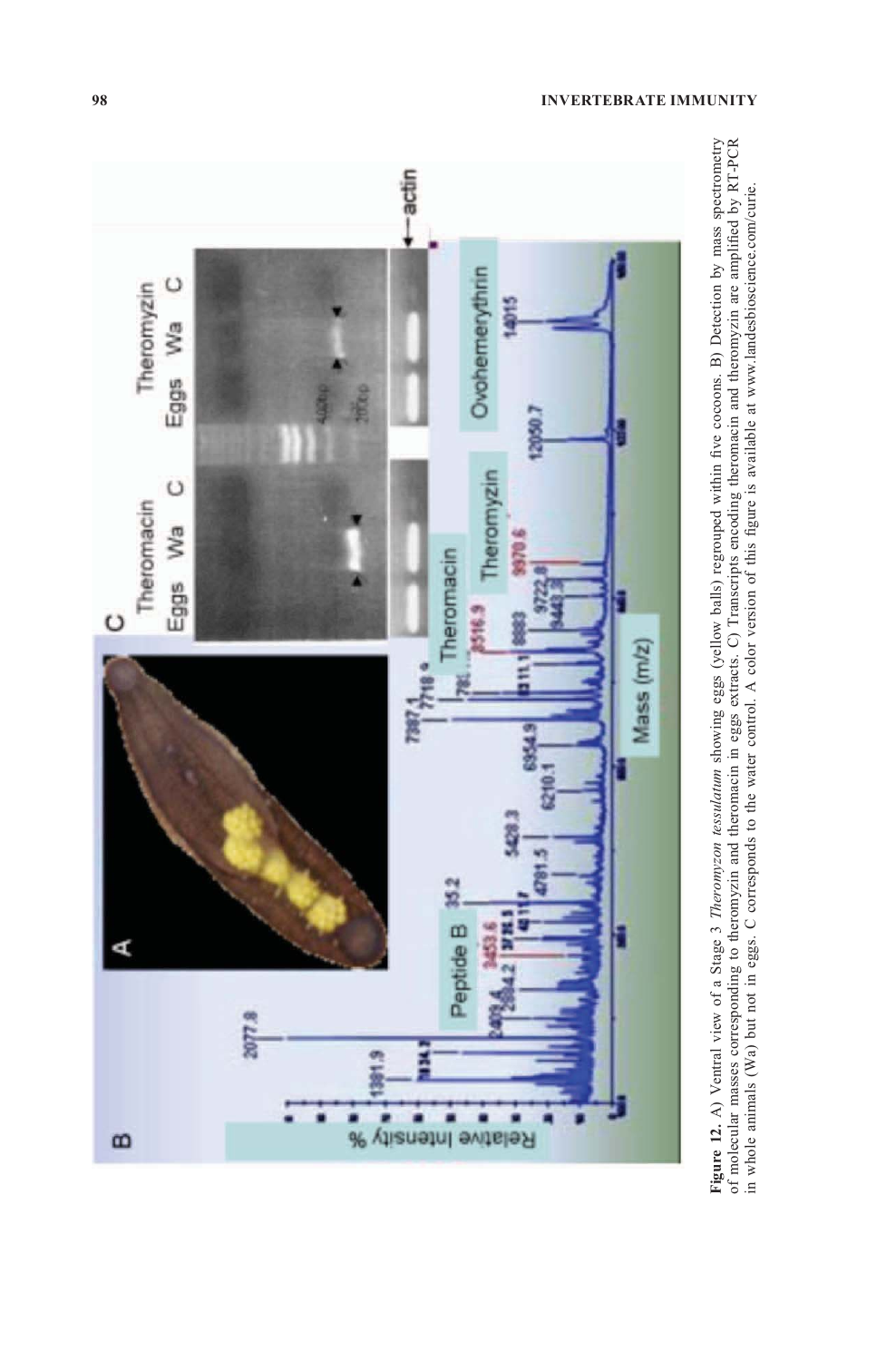

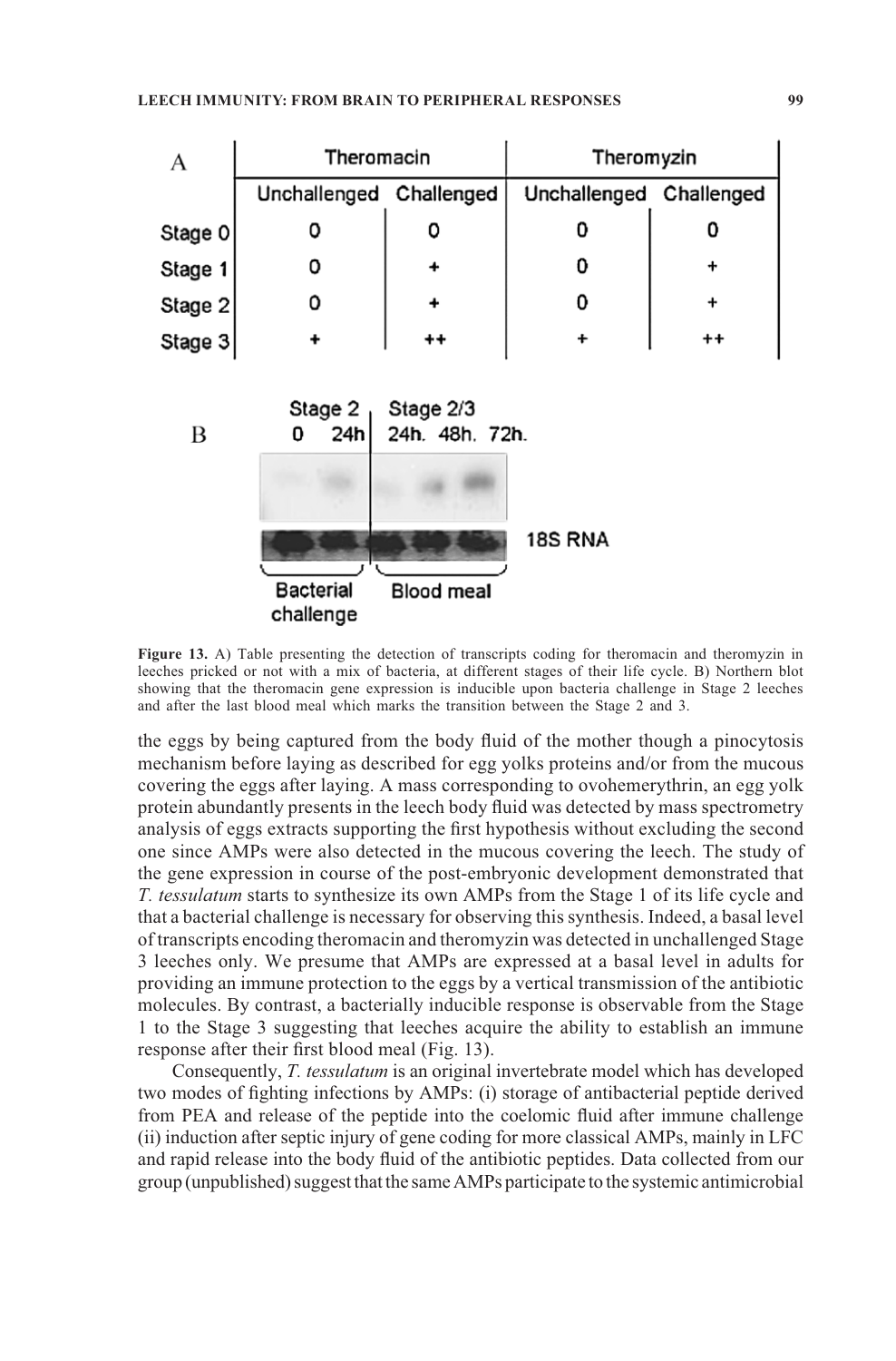| A       | Theromacin                    |                             | Theromyzin              |                 |  |  |  |  |
|---------|-------------------------------|-----------------------------|-------------------------|-----------------|--|--|--|--|
|         | Unchallenged Challenged       |                             | Unchallenged Challenged |                 |  |  |  |  |
| Stage 0 | 0                             | 0                           | 0                       | 0               |  |  |  |  |
| Stage 1 | 0                             |                             | 0                       |                 |  |  |  |  |
| Stage 2 | 0                             |                             | 0                       | +               |  |  |  |  |
| Stage 3 |                               | ++                          |                         | $^{\mathrm{+}}$ |  |  |  |  |
| Β       | Stage 2<br>0<br>24h           | Stage 2/3<br>24h. 48h. 72h. |                         |                 |  |  |  |  |
|         | <b>Bacterial</b><br>challenge | <b>Blood meal</b>           | 18S RNA                 |                 |  |  |  |  |

**Figure 13.** A) Table presenting the detection of transcripts coding for theromacin and theromyzin in leeches pricked or not with a mix of bacteria, at different stages of their life cycle. B) Northern blot showing that the theromacin gene expression is inducible upon bacteria challenge in Stage 2 leeches and after the last blood meal which marks the transition between the Stage 2 and 3.

the eggs by being captured from the body fluid of the mother though a pinocytosis mechanism before laying as described for egg yolks proteins and/or from the mucous covering the eggs after laying. A mass corresponding to ovohemerythrin, an egg yolk protein abundantly presents in the leech body fluid was detected by mass spectrometry analysis of eggs extracts supporting the first hypothesis without excluding the second one since AMPs were also detected in the mucous covering the leech. The study of the gene expression in course of the post-embryonic development demonstrated that *T. tessulatum* starts to synthesize its own AMPs from the Stage 1 of its life cycle and that a bacterial challenge is necessary for observing this synthesis. Indeed, a basal level of transcripts encoding theromacin and theromyzin was detected in unchallenged Stage 3 leeches only. We presume that AMPs are expressed at a basal level in adults for providing an immune protection to the eggs by a vertical transmission of the antibiotic molecules. By contrast, a bacterially inducible response is observable from the Stage 1 to the Stage 3 suggesting that leeches acquire the ability to establish an immune response after their first blood meal (Fig. 13).

Consequently, *T. tessulatum* is an original invertebrate model which has developed two modes of fighting infections by AMPs: (i) storage of antibacterial peptide derived from PEA and release of the peptide into the coelomic fluid after immune challenge (ii) induction after septic injury of gene coding for more classical AMPs, mainly in LFC and rapid release into the body fluid of the antibiotic peptides. Data collected from our group (unpublished) suggest that the same AMPs participate to the systemic antimicrobial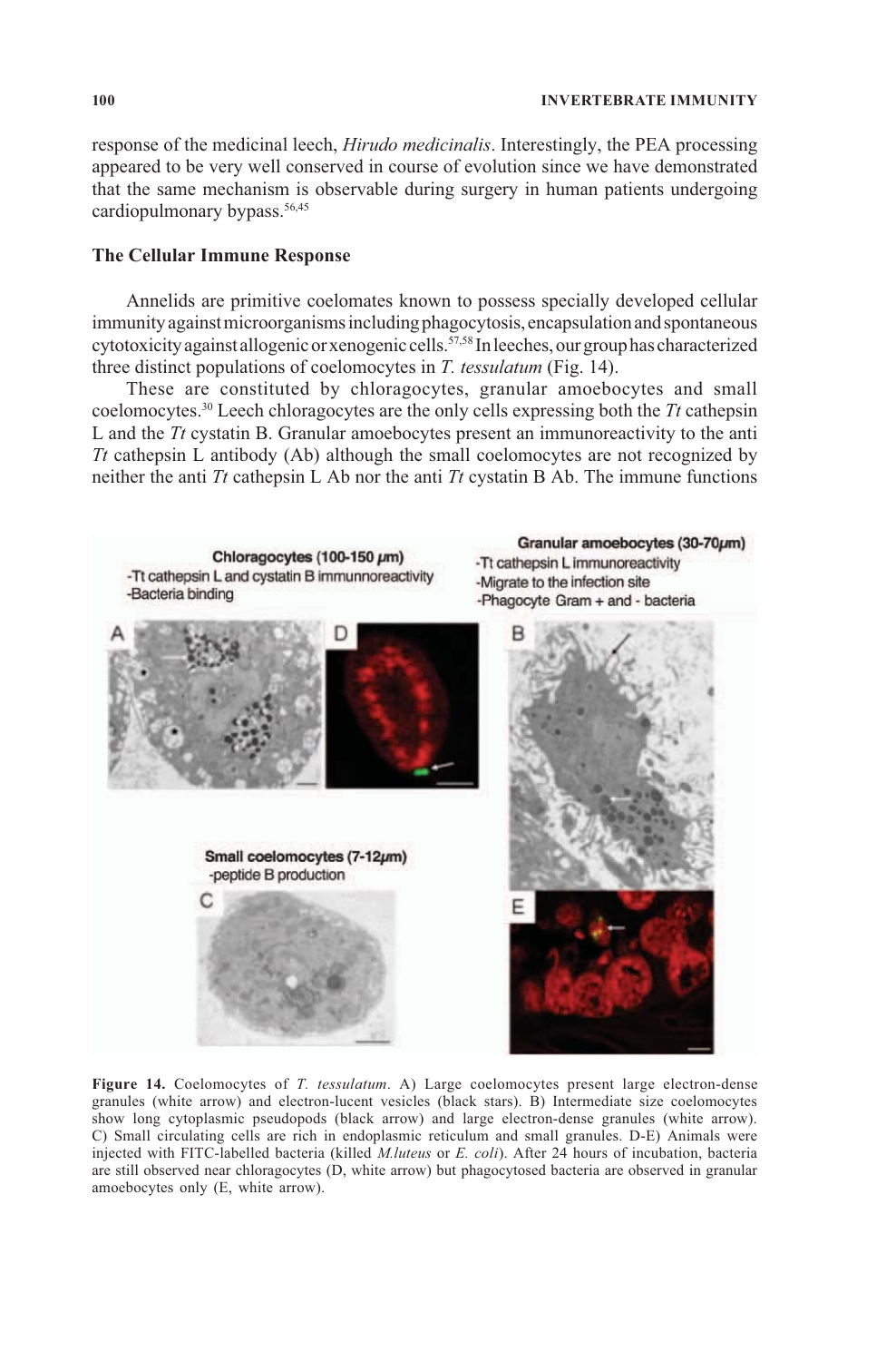response of the medicinal leech, *Hirudo medicinalis*. Interestingly, the PEA processing appeared to be very well conserved in course of evolution since we have demonstrated that the same mechanism is observable during surgery in human patients undergoing cardiopulmonary bypass.<sup>56,45</sup>

#### **The Cellular Immune Response**

Annelids are primitive coelomates known to possess specially developed cellular immunity against microorganisms including phagocytosis, encapsulation and spontaneous cytotoxicity against allogenic or xenogenic cells.<sup>57,58</sup> In leeches, our group has characterized three distinct populations of coelomocytes in *T. tessulatum* (Fig. 14).

These are constituted by chloragocytes, granular amoebocytes and small coelomocytes.30 Leech chloragocytes are the only cells expressing both the *Tt* cathepsin L and the *Tt* cystatin B. Granular amoebocytes present an immunoreactivity to the anti *Tt* cathepsin L antibody (Ab) although the small coelomocytes are not recognized by neither the anti *Tt* cathepsin L Ab nor the anti *Tt* cystatin B Ab. The immune functions



**Figure 14.** Coelomocytes of *T. tessulatum*. A) Large coelomocytes present large electron-dense granules (white arrow) and electron-lucent vesicles (black stars). B) Intermediate size coelomocytes show long cytoplasmic pseudopods (black arrow) and large electron-dense granules (white arrow). C) Small circulating cells are rich in endoplasmic reticulum and small granules. D-E) Animals were injected with FITC-labelled bacteria (killed *M.luteus* or *E. coli*). After 24 hours of incubation, bacteria are still observed near chloragocytes (D, white arrow) but phagocytosed bacteria are observed in granular amoebocytes only (E, white arrow).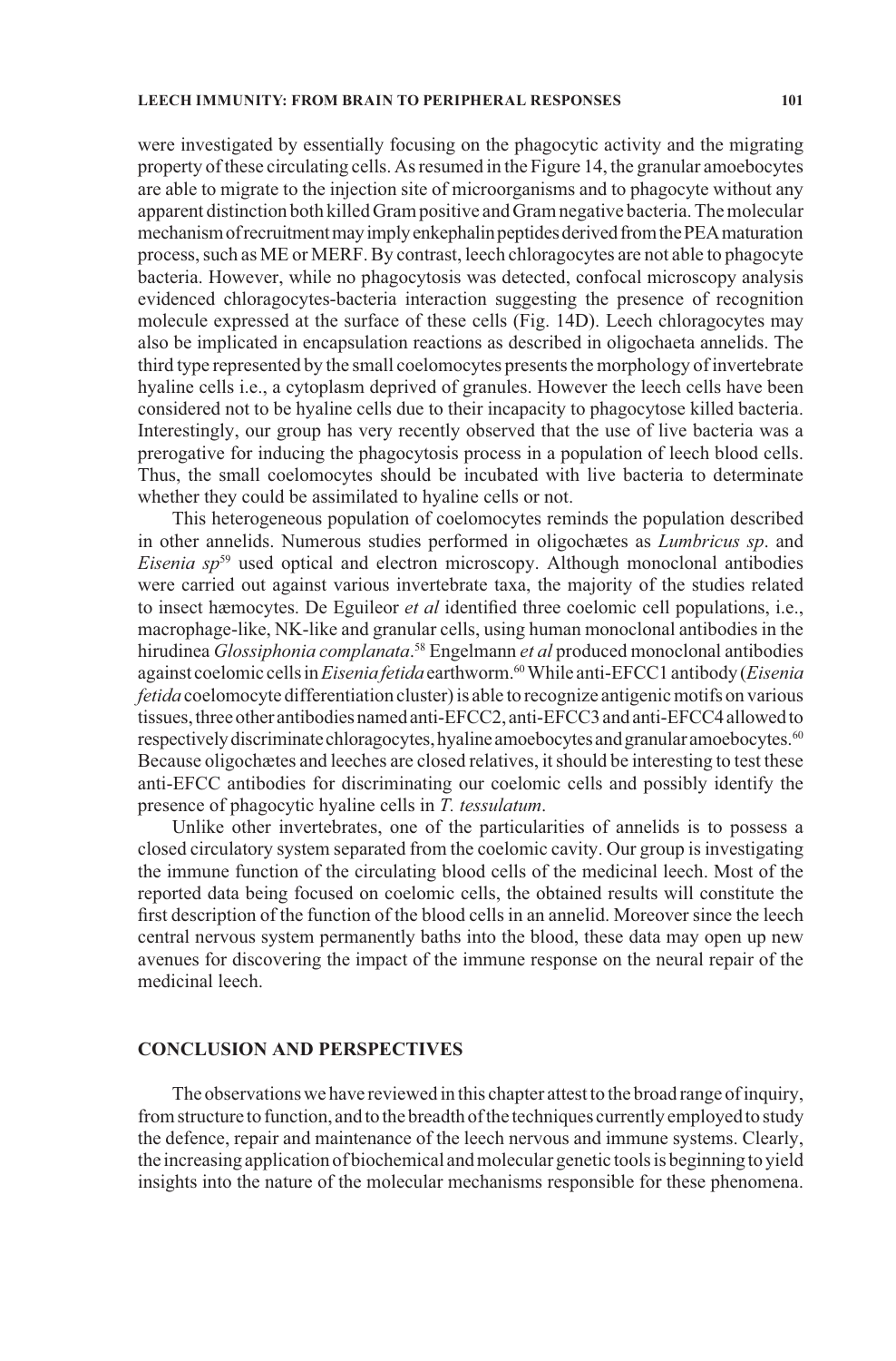were investigated by essentially focusing on the phagocytic activity and the migrating property of these circulating cells. As resumed in the Figure 14, the granular amoebocytes are able to migrate to the injection site of microorganisms and to phagocyte without any apparent distinction both killed Gram positive and Gram negative bacteria. The molecular mechanism of recruitment may imply enkephalin peptides derived from the PEA maturation process, such as ME or MERF. By contrast, leech chloragocytes are not able to phagocyte bacteria. However, while no phagocytosis was detected, confocal microscopy analysis evidenced chloragocytes-bacteria interaction suggesting the presence of recognition molecule expressed at the surface of these cells (Fig. 14D). Leech chloragocytes may also be implicated in encapsulation reactions as described in oligochaeta annelids. The third type represented by the small coelomocytes presents the morphology of invertebrate hyaline cells i.e., a cytoplasm deprived of granules. However the leech cells have been considered not to be hyaline cells due to their incapacity to phagocytose killed bacteria. Interestingly, our group has very recently observed that the use of live bacteria was a prerogative for inducing the phagocytosis process in a population of leech blood cells. Thus, the small coelomocytes should be incubated with live bacteria to determinate whether they could be assimilated to hyaline cells or not.

This heterogeneous population of coelomocytes reminds the population described in other annelids. Numerous studies performed in oligochætes as *Lumbricus sp*. and *Eisenia sp*<sup>59</sup> used optical and electron microscopy. Although monoclonal antibodies were carried out against various invertebrate taxa, the majority of the studies related to insect hæmocytes. De Eguileor *et al* identified three coelomic cell populations, i.e., macrophage-like, NK-like and granular cells, using human monoclonal antibodies in the hirudinea *Glossiphonia complanata*. 58 Engelmann *et al* produced monoclonal antibodies against coelomic cells in *Eisenia fetida* earthworm.60 While anti-EFCC1 antibody (*Eisenia fetida* coelomocyte differentiation cluster) is able to recognize antigenic motifs on various tissues, three other antibodies named anti-EFCC2, anti-EFCC3 and anti-EFCC4 allowed to respectively discriminate chloragocytes, hyaline amoebocytes and granular amoebocytes.<sup>60</sup> Because oligochætes and leeches are closed relatives, it should be interesting to test these anti-EFCC antibodies for discriminating our coelomic cells and possibly identify the presence of phagocytic hyaline cells in *T. tessulatum*.

Unlike other invertebrates, one of the particularities of annelids is to possess a closed circulatory system separated from the coelomic cavity. Our group is investigating the immune function of the circulating blood cells of the medicinal leech. Most of the reported data being focused on coelomic cells, the obtained results will constitute the first description of the function of the blood cells in an annelid. Moreover since the leech central nervous system permanently baths into the blood, these data may open up new avenues for discovering the impact of the immune response on the neural repair of the medicinal leech.

#### **CONCLUSION AND PERSPECTIVES**

The observations we have reviewed in this chapter attest to the broad range of inquiry, from structure to function, and to the breadth of the techniques currently employed to study the defence, repair and maintenance of the leech nervous and immune systems. Clearly, the increasing application of biochemical and molecular genetic tools is beginning to yield insights into the nature of the molecular mechanisms responsible for these phenomena.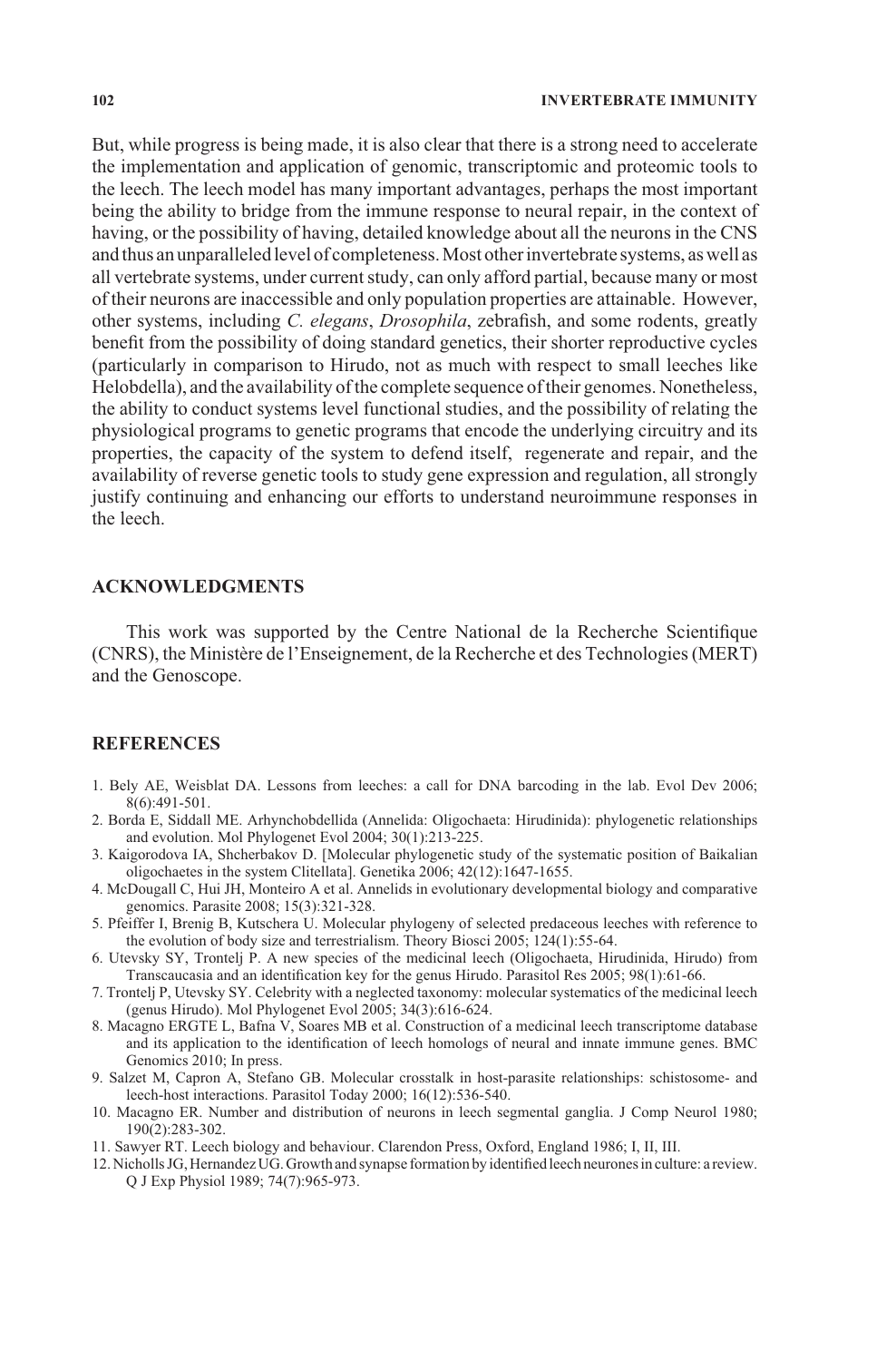But, while progress is being made, it is also clear that there is a strong need to accelerate the implementation and application of genomic, transcriptomic and proteomic tools to the leech. The leech model has many important advantages, perhaps the most important being the ability to bridge from the immune response to neural repair, in the context of having, or the possibility of having, detailed knowledge about all the neurons in the CNS and thus an unparalleled level of completeness. Most other invertebrate systems, as well as all vertebrate systems, under current study, can only afford partial, because many or most of their neurons are inaccessible and only population properties are attainable. However, other systems, including *C. elegans, Drosophila*, zebrafish, and some rodents, greatly benefit from the possibility of doing standard genetics, their shorter reproductive cycles (particularly in comparison to Hirudo, not as much with respect to small leeches like Helobdella), and the availability of the complete sequence of their genomes. Nonetheless, the ability to conduct systems level functional studies, and the possibility of relating the physiological programs to genetic programs that encode the underlying circuitry and its properties, the capacity of the system to defend itself, regenerate and repair, and the availability of reverse genetic tools to study gene expression and regulation, all strongly justify continuing and enhancing our efforts to understand neuroimmune responses in the leech.

## **ACKNOWLEDGMENTS**

This work was supported by the Centre National de la Recherche Scientifique (CNRS), the Ministère de l'Enseignement, de la Recherche et des Technologies (MERT) and the Genoscope.

## **REFERENCES**

- 1. Bely AE, Weisblat DA. Lessons from leeches: a call for DNA barcoding in the lab. Evol Dev 2006; 8(6):491-501.
- 2. Borda E, Siddall ME. Arhynchobdellida (Annelida: Oligochaeta: Hirudinida): phylogenetic relationships and evolution. Mol Phylogenet Evol 2004; 30(1):213-225.
- 3. Kaigorodova IA, Shcherbakov D. [Molecular phylogenetic study of the systematic position of Baikalian oligochaetes in the system Clitellata]. Genetika 2006; 42(12):1647-1655.
- 4. McDougall C, Hui JH, Monteiro A et al. Annelids in evolutionary developmental biology and comparative genomics. Parasite 2008; 15(3):321-328.
- 5. Pfeiffer I, Brenig B, Kutschera U. Molecular phylogeny of selected predaceous leeches with reference to the evolution of body size and terrestrialism. Theory Biosci 2005; 124(1):55-64.
- 6. Utevsky SY, Trontelj P. A new species of the medicinal leech (Oligochaeta, Hirudinida, Hirudo) from Transcaucasia and an identification key for the genus Hirudo. Parasitol Res 2005; 98(1):61-66.
- 7. Trontelj P, Utevsky SY. Celebrity with a neglected taxonomy: molecular systematics of the medicinal leech (genus Hirudo). Mol Phylogenet Evol 2005; 34(3):616-624.
- 8. Macagno ERGTE L, Bafna V, Soares MB et al. Construction of a medicinal leech transcriptome database and its application to the identification of leech homologs of neural and innate immune genes. BMC Genomics 2010; In press.
- 9. Salzet M, Capron A, Stefano GB. Molecular crosstalk in host-parasite relationships: schistosome- and leech-host interactions. Parasitol Today 2000; 16(12):536-540.
- 10. Macagno ER. Number and distribution of neurons in leech segmental ganglia. J Comp Neurol 1980; 190(2):283-302.
- 11. Sawyer RT. Leech biology and behaviour. Clarendon Press, Oxford, England 1986; I, II, III.
- 12. Nicholls JG, Hernandez UG. Growth and synapse formation by identified leech neurones in culture: a review. Q J Exp Physiol 1989; 74(7):965-973.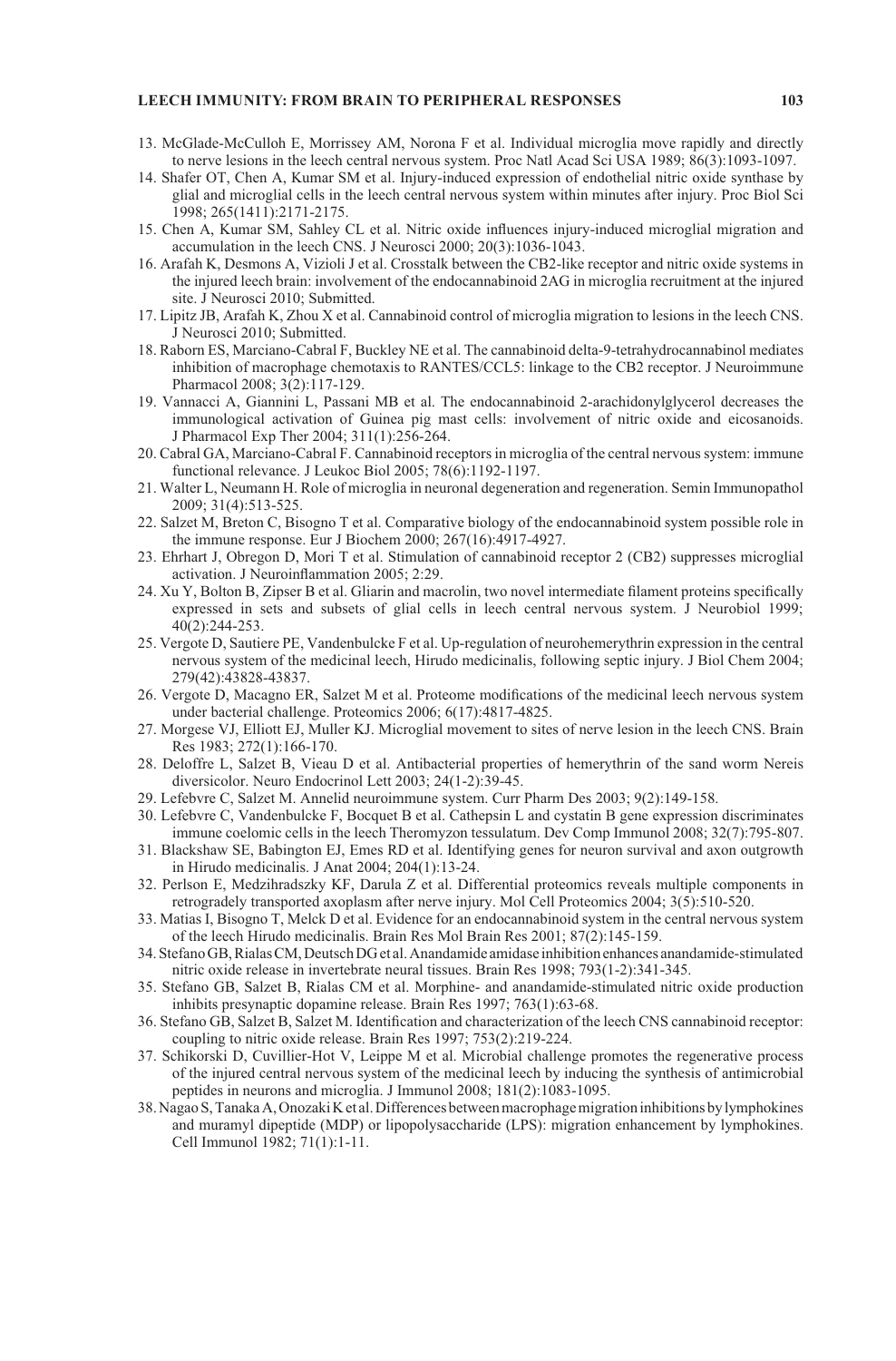#### **LEECH IMMUNITY: FROM BRAIN TO PERIPHERAL RESPONSES 103**

- 13. McGlade-McCulloh E, Morrissey AM, Norona F et al. Individual microglia move rapidly and directly to nerve lesions in the leech central nervous system. Proc Natl Acad Sci USA 1989; 86(3):1093-1097.
- 14. Shafer OT, Chen A, Kumar SM et al. Injury-induced expression of endothelial nitric oxide synthase by glial and microglial cells in the leech central nervous system within minutes after injury. Proc Biol Sci 1998; 265(1411):2171-2175.
- 15. Chen A, Kumar SM, Sahley CL et al. Nitric oxide influences injury-induced microglial migration and accumulation in the leech CNS. J Neurosci 2000; 20(3):1036-1043.
- 16. Arafah K, Desmons A, Vizioli J et al. Crosstalk between the CB2-like receptor and nitric oxide systems in the injured leech brain: involvement of the endocannabinoid 2AG in microglia recruitment at the injured site. J Neurosci 2010; Submitted.
- 17. Lipitz JB, Arafah K, Zhou X et al. Cannabinoid control of microglia migration to lesions in the leech CNS. J Neurosci 2010; Submitted.
- 18. Raborn ES, Marciano-Cabral F, Buckley NE et al. The cannabinoid delta-9-tetrahydrocannabinol mediates inhibition of macrophage chemotaxis to RANTES/CCL5: linkage to the CB2 receptor. J Neuroimmune Pharmacol 2008; 3(2):117-129.
- 19. Vannacci A, Giannini L, Passani MB et al. The endocannabinoid 2-arachidonylglycerol decreases the immunological activation of Guinea pig mast cells: involvement of nitric oxide and eicosanoids. J Pharmacol Exp Ther 2004; 311(1):256-264.
- 20. Cabral GA, Marciano-Cabral F. Cannabinoid receptors in microglia of the central nervous system: immune functional relevance. J Leukoc Biol 2005; 78(6):1192-1197.
- 21. Walter L, Neumann H. Role of microglia in neuronal degeneration and regeneration. Semin Immunopathol 2009; 31(4):513-525.
- 22. Salzet M, Breton C, Bisogno T et al. Comparative biology of the endocannabinoid system possible role in the immune response. Eur J Biochem 2000; 267(16):4917-4927.
- 23. Ehrhart J, Obregon D, Mori T et al. Stimulation of cannabinoid receptor 2 (CB2) suppresses microglial activation. J Neuroinflammation 2005; 2:29.
- 24. Xu Y, Bolton B, Zipser B et al. Gliarin and macrolin, two novel intermediate filament proteins specifically expressed in sets and subsets of glial cells in leech central nervous system. J Neurobiol 1999; 40(2):244-253.
- 25. Vergote D, Sautiere PE, Vandenbulcke F et al. Up-regulation of neurohemerythrin expression in the central nervous system of the medicinal leech, Hirudo medicinalis, following septic injury. J Biol Chem 2004; 279(42):43828-43837.
- 26. Vergote D, Macagno ER, Salzet M et al. Proteome modifications of the medicinal leech nervous system under bacterial challenge. Proteomics 2006; 6(17):4817-4825.
- 27. Morgese VJ, Elliott EJ, Muller KJ. Microglial movement to sites of nerve lesion in the leech CNS. Brain Res 1983; 272(1):166-170.
- 28. Deloffre L, Salzet B, Vieau D et al. Antibacterial properties of hemerythrin of the sand worm Nereis diversicolor. Neuro Endocrinol Lett 2003; 24(1-2):39-45.
- 29. Lefebvre C, Salzet M. Annelid neuroimmune system. Curr Pharm Des 2003; 9(2):149-158.
- 30. Lefebvre C, Vandenbulcke F, Bocquet B et al. Cathepsin L and cystatin B gene expression discriminates immune coelomic cells in the leech Theromyzon tessulatum. Dev Comp Immunol 2008; 32(7):795-807.
- 31. Blackshaw SE, Babington EJ, Emes RD et al. Identifying genes for neuron survival and axon outgrowth in Hirudo medicinalis. J Anat 2004; 204(1):13-24.
- 32. Perlson E, Medzihradszky KF, Darula Z et al. Differential proteomics reveals multiple components in retrogradely transported axoplasm after nerve injury. Mol Cell Proteomics 2004; 3(5):510-520.
- 33. Matias I, Bisogno T, Melck D et al. Evidence for an endocannabinoid system in the central nervous system of the leech Hirudo medicinalis. Brain Res Mol Brain Res 2001; 87(2):145-159.
- 34. Stefano GB, Rialas CM, Deutsch DG et al. Anandamide amidase inhibition enhances anandamide-stimulated nitric oxide release in invertebrate neural tissues. Brain Res 1998; 793(1-2):341-345.
- 35. Stefano GB, Salzet B, Rialas CM et al. Morphine- and anandamide-stimulated nitric oxide production inhibits presynaptic dopamine release. Brain Res 1997; 763(1):63-68.
- 36. Stefano GB, Salzet B, Salzet M. Identification and characterization of the leech CNS cannabinoid receptor: coupling to nitric oxide release. Brain Res 1997; 753(2):219-224.
- 37. Schikorski D, Cuvillier-Hot V, Leippe M et al. Microbial challenge promotes the regenerative process of the injured central nervous system of the medicinal leech by inducing the synthesis of antimicrobial peptides in neurons and microglia. J Immunol 2008; 181(2):1083-1095.
- 38. Nagao S, Tanaka A, Onozaki K et al. Differences between macrophage migration inhibitions by lymphokines and muramyl dipeptide (MDP) or lipopolysaccharide (LPS): migration enhancement by lymphokines. Cell Immunol 1982; 71(1):1-11.